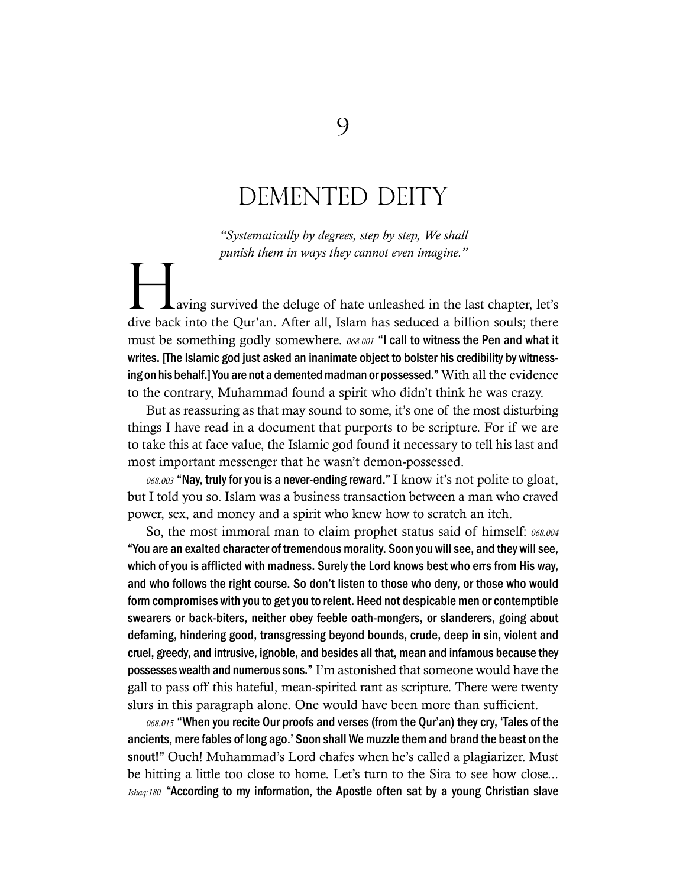## DEMENTED DEITY

*"Systematically by degrees, step by step, We shall punish them in ways they cannot even imagine."*

 $\blacksquare$  aving survived the deluge of hate unleashed in the last chapter, let's dive back into the Qur'an. After all, Islam has seduced a billion souls; there must be something godly somewhere. *068.001* "I call to witness the Pen and what it writes. [The Islamic god just asked an inanimate object to bolster his credibility by witnessing on his behalf.] You are not a demented madman or possessed." With all the evidence to the contrary, Muhammad found a spirit who didn't think he was crazy.

But as reassuring as that may sound to some, it's one of the most disturbing things I have read in a document that purports to be scripture. For if we are to take this at face value, the Islamic god found it necessary to tell his last and most important messenger that he wasn't demon-possessed.

*068.003* "Nay, truly for you is a never-ending reward." I know it's not polite to gloat, but I told you so. Islam was a business transaction between a man who craved power, sex, and money and a spirit who knew how to scratch an itch.

So, the most immoral man to claim prophet status said of himself: *068.004* "You are an exalted character of tremendous morality. Soon you will see, and they will see, which of you is afflicted with madness. Surely the Lord knows best who errs from His way, and who follows the right course. So don't listen to those who deny, or those who would form compromises with you to get you to relent. Heed not despicable men or contemptible swearers or back-biters, neither obey feeble oath-mongers, or slanderers, going about defaming, hindering good, transgressing beyond bounds, crude, deep in sin, violent and cruel, greedy, and intrusive, ignoble, and besides all that, mean and infamous because they possesses wealth and numerous sons." I'm astonished that someone would have the gall to pass off this hateful, mean-spirited rant as scripture. There were twenty slurs in this paragraph alone. One would have been more than sufficient.

*068.015* "When you recite Our proofs and verses (from the Qur'an) they cry, 'Tales of the ancients, mere fables of long ago.' Soon shall We muzzle them and brand the beast on the snout!" Ouch! Muhammad's Lord chafes when he's called a plagiarizer. Must be hitting a little too close to home. Let's turn to the Sira to see how close... *Ishaq:180* "According to my information, the Apostle often sat by a young Christian slave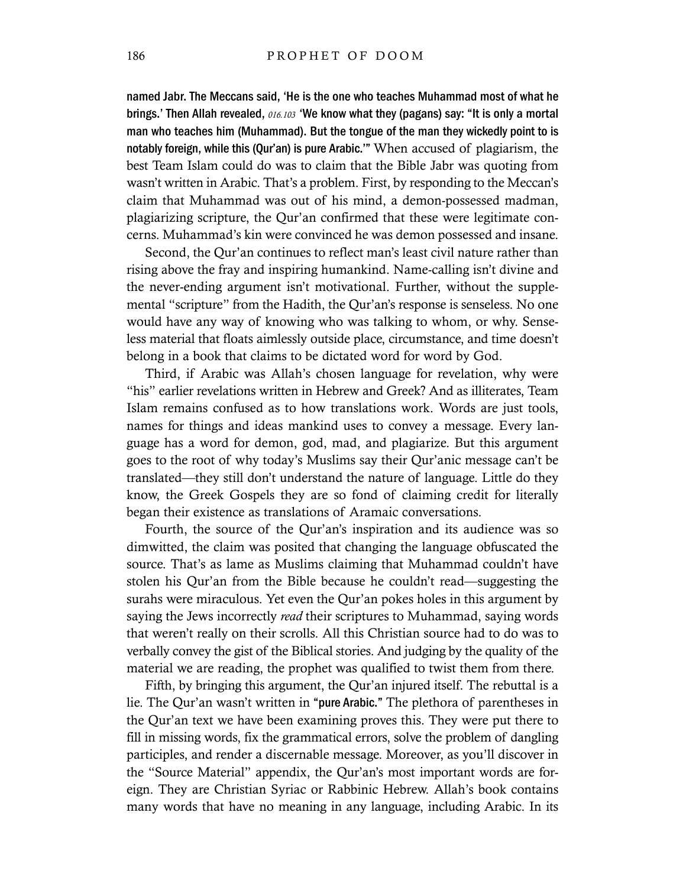named Jabr. The Meccans said, 'He is the one who teaches Muhammad most of what he brings.' Then Allah revealed, *016.103* 'We know what they (pagans) say: "It is only a mortal man who teaches him (Muhammad). But the tongue of the man they wickedly point to is notably foreign, while this (Qur'an) is pure Arabic.'" When accused of plagiarism, the best Team Islam could do was to claim that the Bible Jabr was quoting from wasn't written in Arabic. That's a problem. First, by responding to the Meccan's claim that Muhammad was out of his mind, a demon-possessed madman, plagiarizing scripture, the Qur'an confirmed that these were legitimate concerns. Muhammad's kin were convinced he was demon possessed and insane.

Second, the Qur'an continues to reflect man's least civil nature rather than rising above the fray and inspiring humankind. Name-calling isn't divine and the never-ending argument isn't motivational. Further, without the supplemental "scripture" from the Hadith, the Qur'an's response is senseless. No one would have any way of knowing who was talking to whom, or why. Senseless material that floats aimlessly outside place, circumstance, and time doesn't belong in a book that claims to be dictated word for word by God.

Third, if Arabic was Allah's chosen language for revelation, why were "his" earlier revelations written in Hebrew and Greek? And as illiterates, Team Islam remains confused as to how translations work. Words are just tools, names for things and ideas mankind uses to convey a message. Every language has a word for demon, god, mad, and plagiarize. But this argument goes to the root of why today's Muslims say their Qur'anic message can't be translated—they still don't understand the nature of language. Little do they know, the Greek Gospels they are so fond of claiming credit for literally began their existence as translations of Aramaic conversations.

Fourth, the source of the Qur'an's inspiration and its audience was so dimwitted, the claim was posited that changing the language obfuscated the source. That's as lame as Muslims claiming that Muhammad couldn't have stolen his Qur'an from the Bible because he couldn't read—suggesting the surahs were miraculous. Yet even the Qur'an pokes holes in this argument by saying the Jews incorrectly *read* their scriptures to Muhammad, saying words that weren't really on their scrolls. All this Christian source had to do was to verbally convey the gist of the Biblical stories. And judging by the quality of the material we are reading, the prophet was qualified to twist them from there.

Fifth, by bringing this argument, the Qur'an injured itself. The rebuttal is a lie. The Qur'an wasn't written in "pure Arabic." The plethora of parentheses in the Qur'an text we have been examining proves this. They were put there to fill in missing words, fix the grammatical errors, solve the problem of dangling participles, and render a discernable message. Moreover, as you'll discover in the "Source Material" appendix, the Qur'an's most important words are foreign. They are Christian Syriac or Rabbinic Hebrew. Allah's book contains many words that have no meaning in any language, including Arabic. In its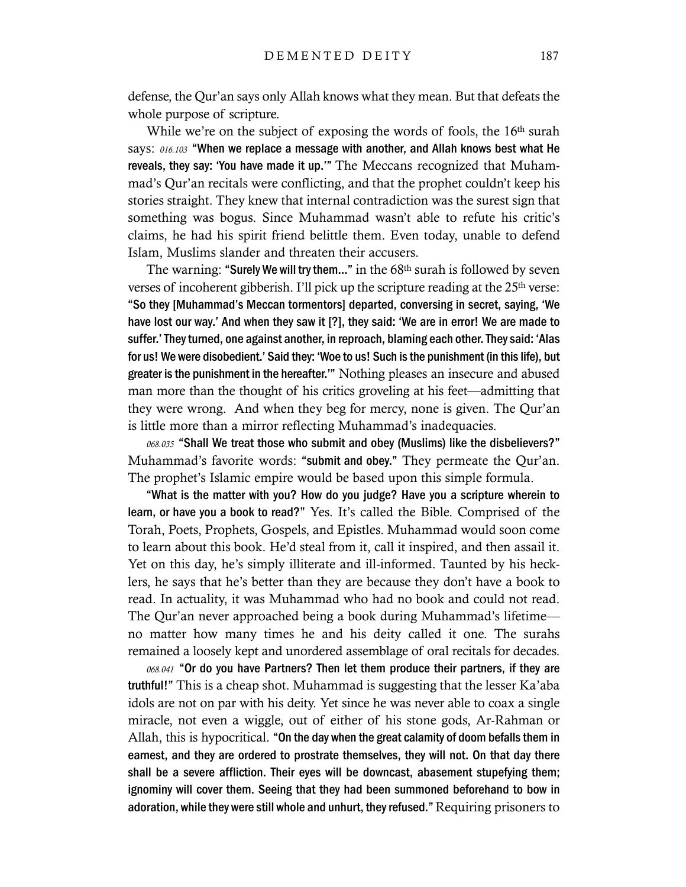defense, the Qur'an says only Allah knows what they mean. But that defeats the whole purpose of scripture.

While we're on the subject of exposing the words of fools, the 16<sup>th</sup> surah says: *016.103* "When we replace a message with another, and Allah knows best what He reveals, they say: 'You have made it up.'" The Meccans recognized that Muhammad's Qur'an recitals were conflicting, and that the prophet couldn't keep his stories straight. They knew that internal contradiction was the surest sign that something was bogus. Since Muhammad wasn't able to refute his critic's claims, he had his spirit friend belittle them. Even today, unable to defend Islam, Muslims slander and threaten their accusers.

The warning: "Surely We will try them..." in the  $68<sup>th</sup>$  surah is followed by seven verses of incoherent gibberish. I'll pick up the scripture reading at the 25<sup>th</sup> verse: "So they [Muhammad's Meccan tormentors] departed, conversing in secret, saying, 'We have lost our way.' And when they saw it [?], they said: 'We are in error! We are made to suffer.' They turned, one against another, in reproach, blaming each other. They said: 'Alas for us! We were disobedient.' Said they: 'Woe to us! Such is the punishment (in this life), but greater is the punishment in the hereafter.'" Nothing pleases an insecure and abused man more than the thought of his critics groveling at his feet—admitting that they were wrong. And when they beg for mercy, none is given. The Qur'an is little more than a mirror reflecting Muhammad's inadequacies.

*068.035* "Shall We treat those who submit and obey (Muslims) like the disbelievers?" Muhammad's favorite words: "submit and obey." They permeate the Qur'an. The prophet's Islamic empire would be based upon this simple formula.

"What is the matter with you? How do you judge? Have you a scripture wherein to learn, or have you a book to read?" Yes. It's called the Bible. Comprised of the Torah, Poets, Prophets, Gospels, and Epistles. Muhammad would soon come to learn about this book. He'd steal from it, call it inspired, and then assail it. Yet on this day, he's simply illiterate and ill-informed. Taunted by his hecklers, he says that he's better than they are because they don't have a book to read. In actuality, it was Muhammad who had no book and could not read. The Qur'an never approached being a book during Muhammad's lifetime no matter how many times he and his deity called it one. The surahs remained a loosely kept and unordered assemblage of oral recitals for decades.

*068.041* "Or do you have Partners? Then let them produce their partners, if they are truthful!" This is a cheap shot. Muhammad is suggesting that the lesser Ka'aba idols are not on par with his deity. Yet since he was never able to coax a single miracle, not even a wiggle, out of either of his stone gods, Ar-Rahman or Allah, this is hypocritical. "On the day when the great calamity of doom befalls them in earnest, and they are ordered to prostrate themselves, they will not. On that day there shall be a severe affliction. Their eyes will be downcast, abasement stupefying them; ignominy will cover them. Seeing that they had been summoned beforehand to bow in adoration, while they were still whole and unhurt, they refused." Requiring prisoners to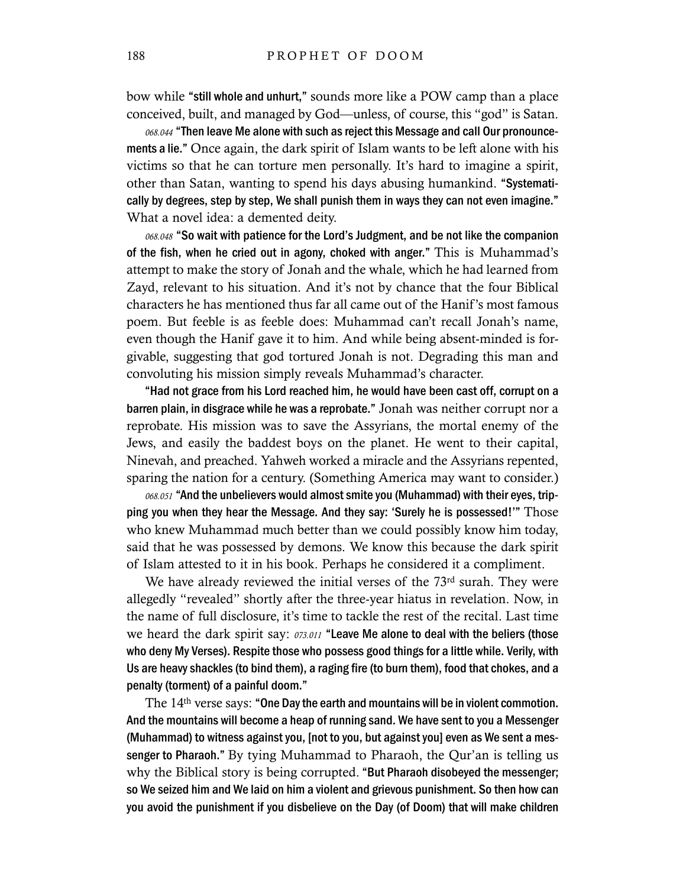bow while "still whole and unhurt," sounds more like a POW camp than a place conceived, built, and managed by God—unless, of course, this "god" is Satan.

*068.044* "Then leave Me alone with such as reject this Message and call Our pronouncements a lie." Once again, the dark spirit of Islam wants to be left alone with his victims so that he can torture men personally. It's hard to imagine a spirit, other than Satan, wanting to spend his days abusing humankind. "Systematically by degrees, step by step, We shall punish them in ways they can not even imagine." What a novel idea: a demented deity.

*068.048* "So wait with patience for the Lord's Judgment, and be not like the companion of the fish, when he cried out in agony, choked with anger." This is Muhammad's attempt to make the story of Jonah and the whale, which he had learned from Zayd, relevant to his situation. And it's not by chance that the four Biblical characters he has mentioned thus far all came out of the Hanif's most famous poem. But feeble is as feeble does: Muhammad can't recall Jonah's name, even though the Hanif gave it to him. And while being absent-minded is forgivable, suggesting that god tortured Jonah is not. Degrading this man and convoluting his mission simply reveals Muhammad's character.

"Had not grace from his Lord reached him, he would have been cast off, corrupt on a barren plain, in disgrace while he was a reprobate." Jonah was neither corrupt nor a reprobate. His mission was to save the Assyrians, the mortal enemy of the Jews, and easily the baddest boys on the planet. He went to their capital, Ninevah, and preached. Yahweh worked a miracle and the Assyrians repented, sparing the nation for a century. (Something America may want to consider.)

*068.051* "And the unbelievers would almost smite you (Muhammad) with their eyes, tripping you when they hear the Message. And they say: 'Surely he is possessed!'" Those who knew Muhammad much better than we could possibly know him today, said that he was possessed by demons. We know this because the dark spirit of Islam attested to it in his book. Perhaps he considered it a compliment.

We have already reviewed the initial verses of the 73<sup>rd</sup> surah. They were allegedly "revealed" shortly after the three-year hiatus in revelation. Now, in the name of full disclosure, it's time to tackle the rest of the recital. Last time we heard the dark spirit say: *073.011* "Leave Me alone to deal with the beliers (those who deny My Verses). Respite those who possess good things for a little while. Verily, with Us are heavy shackles (to bind them), a raging fire (to burn them), food that chokes, and a penalty (torment) of a painful doom."

The 14<sup>th</sup> verse says: "One Day the earth and mountains will be in violent commotion. And the mountains will become a heap of running sand. We have sent to you a Messenger (Muhammad) to witness against you, [not to you, but against you] even as We sent a messenger to Pharaoh." By tying Muhammad to Pharaoh, the Qur'an is telling us why the Biblical story is being corrupted. "But Pharaoh disobeyed the messenger; so We seized him and We laid on him a violent and grievous punishment. So then how can you avoid the punishment if you disbelieve on the Day (of Doom) that will make children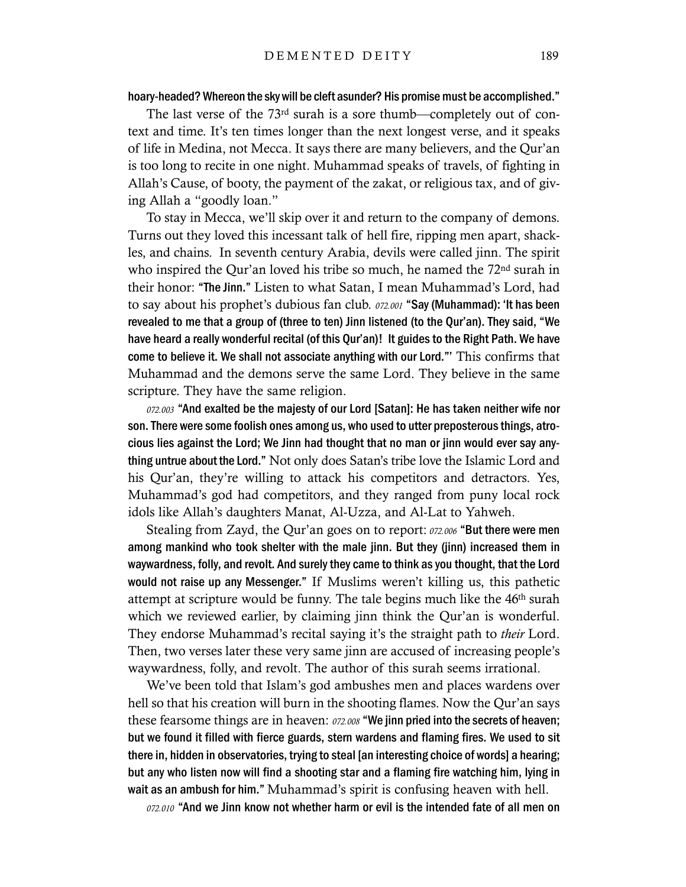## hoary-headed? Whereon the sky will be cleft asunder? His promise must be accomplished."

The last verse of the 73<sup>rd</sup> surah is a sore thumb—completely out of context and time. It's ten times longer than the next longest verse, and it speaks of life in Medina, not Mecca. It says there are many believers, and the Qur'an is too long to recite in one night. Muhammad speaks of travels, of fighting in Allah's Cause, of booty, the payment of the zakat, or religious tax, and of giving Allah a "goodly loan."

To stay in Mecca, we'll skip over it and return to the company of demons. Turns out they loved this incessant talk of hell fire, ripping men apart, shackles, and chains. In seventh century Arabia, devils were called jinn. The spirit who inspired the Qur'an loved his tribe so much, he named the 72<sup>nd</sup> surah in their honor: "The Jinn." Listen to what Satan, I mean Muhammad's Lord, had to say about his prophet's dubious fan club. *072.001* "Say (Muhammad): 'It has been revealed to me that a group of (three to ten) Jinn listened (to the Qur'an). They said, "We have heard a really wonderful recital (of this Qur'an)! It guides to the Right Path. We have come to believe it. We shall not associate anything with our Lord."' This confirms that Muhammad and the demons serve the same Lord. They believe in the same scripture. They have the same religion.

*072.003* "And exalted be the majesty of our Lord [Satan]: He has taken neither wife nor son. There were some foolish ones among us, who used to utter preposterous things, atrocious lies against the Lord; We Jinn had thought that no man or jinn would ever say anything untrue about the Lord." Not only does Satan's tribe love the Islamic Lord and his Qur'an, they're willing to attack his competitors and detractors. Yes, Muhammad's god had competitors, and they ranged from puny local rock idols like Allah's daughters Manat, Al-Uzza, and Al-Lat to Yahweh.

Stealing from Zayd, the Qur'an goes on to report: *072.006* "But there were men among mankind who took shelter with the male jinn. But they (jinn) increased them in waywardness, folly, and revolt. And surely they came to think as you thought, that the Lord would not raise up any Messenger." If Muslims weren't killing us, this pathetic attempt at scripture would be funny. The tale begins much like the 46<sup>th</sup> surah which we reviewed earlier, by claiming jinn think the Qur'an is wonderful. They endorse Muhammad's recital saying it's the straight path to *their* Lord. Then, two verses later these very same jinn are accused of increasing people's waywardness, folly, and revolt. The author of this surah seems irrational.

We've been told that Islam's god ambushes men and places wardens over hell so that his creation will burn in the shooting flames. Now the Qur'an says these fearsome things are in heaven: *072.008* "We jinn pried into the secrets of heaven; but we found it filled with fierce guards, stern wardens and flaming fires. We used to sit there in, hidden in observatories, trying to steal [an interesting choice of words] a hearing; but any who listen now will find a shooting star and a flaming fire watching him, lying in wait as an ambush for him." Muhammad's spirit is confusing heaven with hell.

*072.010* "And we Jinn know not whether harm or evil is the intended fate of all men on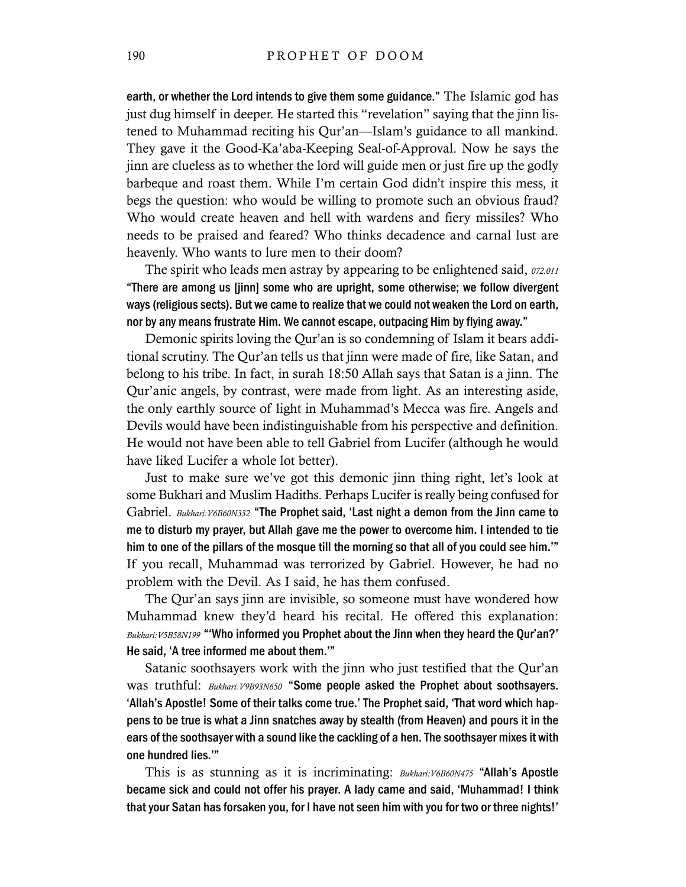earth, or whether the Lord intends to give them some guidance." The Islamic god has just dug himself in deeper. He started this "revelation" saying that the jinn listened to Muhammad reciting his Qur'an—Islam's guidance to all mankind. They gave it the Good-Ka'aba-Keeping Seal-of-Approval. Now he says the jinn are clueless as to whether the lord will guide men or just fire up the godly barbeque and roast them. While I'm certain God didn't inspire this mess, it begs the question: who would be willing to promote such an obvious fraud? Who would create heaven and hell with wardens and fiery missiles? Who needs to be praised and feared? Who thinks decadence and carnal lust are heavenly. Who wants to lure men to their doom?

The spirit who leads men astray by appearing to be enlightened said, *072.011* "There are among us [jinn] some who are upright, some otherwise; we follow divergent ways (religious sects). But we came to realize that we could not weaken the Lord on earth, nor by any means frustrate Him. We cannot escape, outpacing Him by flying away."

Demonic spirits loving the Qur'an is so condemning of Islam it bears additional scrutiny. The Qur'an tells us that jinn were made of fire, like Satan, and belong to his tribe. In fact, in surah 18:50 Allah says that Satan is a jinn. The Qur'anic angels, by contrast, were made from light. As an interesting aside, the only earthly source of light in Muhammad's Mecca was fire. Angels and Devils would have been indistinguishable from his perspective and definition. He would not have been able to tell Gabriel from Lucifer (although he would have liked Lucifer a whole lot better).

Just to make sure we've got this demonic jinn thing right, let's look at some Bukhari and Muslim Hadiths. Perhaps Lucifer is really being confused for Gabriel. *Bukhari:V6B60N332* "The Prophet said, 'Last night a demon from the Jinn came to me to disturb my prayer, but Allah gave me the power to overcome him. I intended to tie him to one of the pillars of the mosque till the morning so that all of you could see him.'" If you recall, Muhammad was terrorized by Gabriel. However, he had no problem with the Devil. As I said, he has them confused.

The Qur'an says jinn are invisible, so someone must have wondered how Muhammad knew they'd heard his recital. He offered this explanation: *Bukhari:V5B58N199* "'Who informed you Prophet about the Jinn when they heard the Qur'an?' He said, 'A tree informed me about them.'"

Satanic soothsayers work with the jinn who just testified that the Qur'an was truthful: *Bukhari:V9B93N650* "Some people asked the Prophet about soothsayers. 'Allah's Apostle! Some of their talks come true.' The Prophet said, 'That word which happens to be true is what a Jinn snatches away by stealth (from Heaven) and pours it in the ears of the soothsayer with a sound like the cackling of a hen. The soothsayer mixes it with one hundred lies.'"

This is as stunning as it is incriminating: *Bukhari:V6B60N475* "Allah's Apostle became sick and could not offer his prayer. A lady came and said, 'Muhammad! I think that your Satan has forsaken you, for I have not seen him with you for two or three nights!'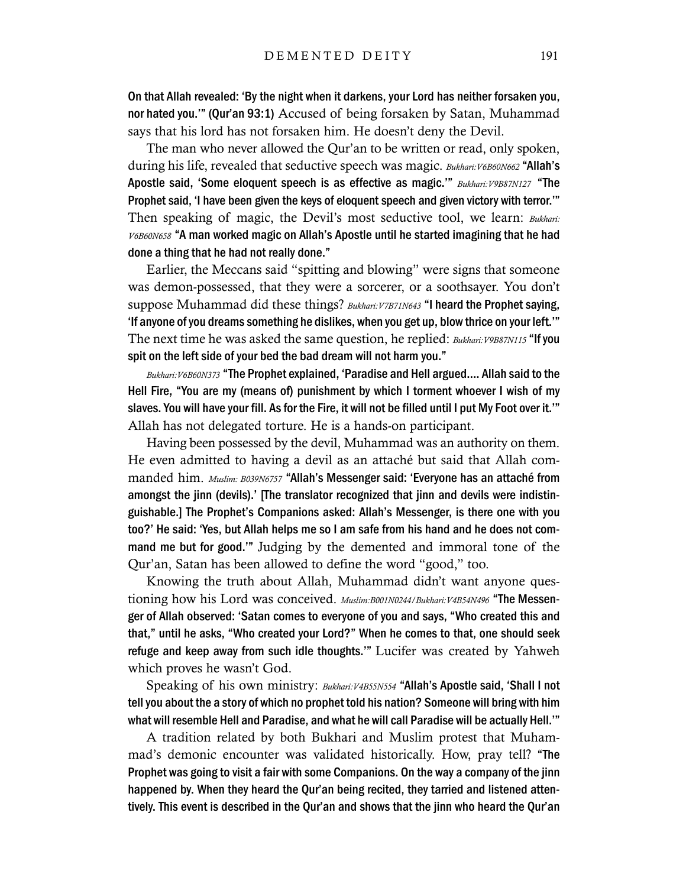On that Allah revealed: 'By the night when it darkens, your Lord has neither forsaken you, nor hated you.'" (Qur'an 93:1) Accused of being forsaken by Satan, Muhammad says that his lord has not forsaken him. He doesn't deny the Devil.

The man who never allowed the Qur'an to be written or read, only spoken, during his life, revealed that seductive speech was magic. **Bukhari:V6B60N662** "Allah's Apostle said, 'Some eloquent speech is as effective as magic.'" *Bukhari:V9B87N127* "The Prophet said, 'I have been given the keys of eloquent speech and given victory with terror.'" Then speaking of magic, the Devil's most seductive tool, we learn: *Bukhari: V6B60N658* "A man worked magic on Allah's Apostle until he started imagining that he had done a thing that he had not really done."

Earlier, the Meccans said "spitting and blowing" were signs that someone was demon-possessed, that they were a sorcerer, or a soothsayer. You don't suppose Muhammad did these things? *Bukhari:V7B71N643* "I heard the Prophet saying, 'If anyone of you dreams something he dislikes, when you get up, blow thrice on your left.'" The next time he was asked the same question, he replied: *Bukhari:V9B87N115* "If you spit on the left side of your bed the bad dream will not harm you."

*Bukhari:V6B60N373* "The Prophet explained, 'Paradise and Hell argued…. Allah said to the Hell Fire, "You are my (means of) punishment by which I torment whoever I wish of my slaves. You will have your fill. As for the Fire, it will not be filled until I put My Foot over it.'" Allah has not delegated torture. He is a hands-on participant.

Having been possessed by the devil, Muhammad was an authority on them. He even admitted to having a devil as an attaché but said that Allah commanded him. *Muslim: B039N6757* "Allah's Messenger said: 'Everyone has an attaché from amongst the jinn (devils).' [The translator recognized that jinn and devils were indistinguishable.] The Prophet's Companions asked: Allah's Messenger, is there one with you too?' He said: 'Yes, but Allah helps me so I am safe from his hand and he does not command me but for good.'" Judging by the demented and immoral tone of the Qur'an, Satan has been allowed to define the word "good," too.

Knowing the truth about Allah, Muhammad didn't want anyone questioning how his Lord was conceived. *Muslim:B001N0244/Bukhari:V4B54N496* "The Messenger of Allah observed: 'Satan comes to everyone of you and says, "Who created this and that," until he asks, "Who created your Lord?" When he comes to that, one should seek refuge and keep away from such idle thoughts.'" Lucifer was created by Yahweh which proves he wasn't God.

Speaking of his own ministry: *Bukhari:V4B55N554* "Allah's Apostle said, 'Shall I not tell you about the a story of which no prophet told his nation? Someone will bring with him what will resemble Hell and Paradise, and what he will call Paradise will be actually Hell.""

A tradition related by both Bukhari and Muslim protest that Muhammad's demonic encounter was validated historically. How, pray tell? "The Prophet was going to visit a fair with some Companions. On the way a company of the jinn happened by. When they heard the Qur'an being recited, they tarried and listened attentively. This event is described in the Qur'an and shows that the jinn who heard the Qur'an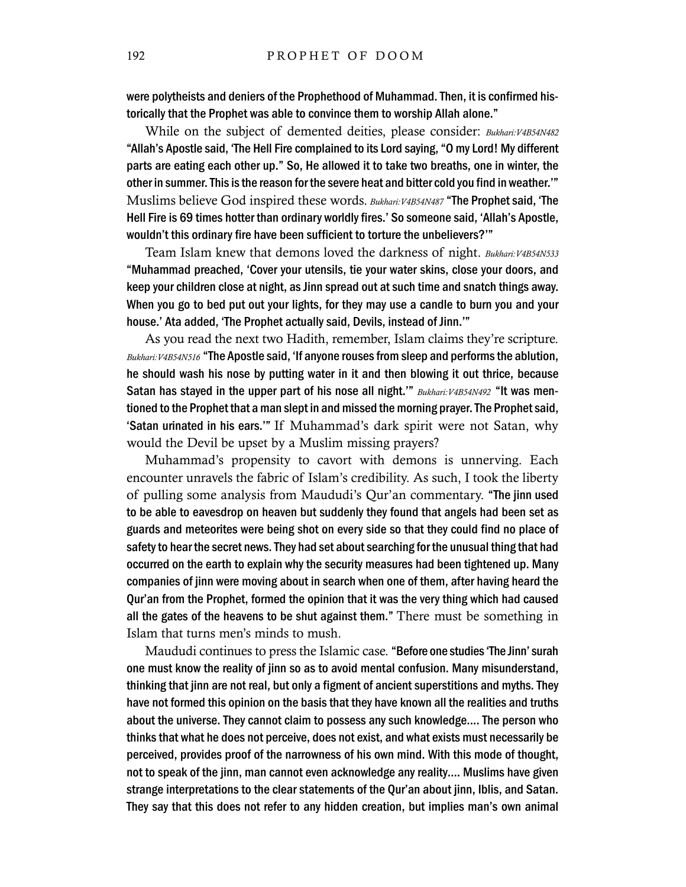were polytheists and deniers of the Prophethood of Muhammad. Then, it is confirmed historically that the Prophet was able to convince them to worship Allah alone."

While on the subject of demented deities, please consider: *Bukhari:V4B54N482* "Allah's Apostle said, 'The Hell Fire complained to its Lord saying, "O my Lord! My different parts are eating each other up." So, He allowed it to take two breaths, one in winter, the other in summer. This is the reason for the severe heat and bitter cold you find in weather.'" Muslims believe God inspired these words. *Bukhari:V4B54N487* "The Prophet said, 'The Hell Fire is 69 times hotter than ordinary worldly fires.' So someone said, 'Allah's Apostle, wouldn't this ordinary fire have been sufficient to torture the unbelievers?'"

Team Islam knew that demons loved the darkness of night. *Bukhari:V4B54N533* "Muhammad preached, 'Cover your utensils, tie your water skins, close your doors, and keep your children close at night, as Jinn spread out at such time and snatch things away. When you go to bed put out your lights, for they may use a candle to burn you and your house.' Ata added, 'The Prophet actually said, Devils, instead of Jinn.'"

As you read the next two Hadith, remember, Islam claims they're scripture. *Bukhari:V4B54N516* "The Apostle said, 'If anyone rouses from sleep and performs the ablution, he should wash his nose by putting water in it and then blowing it out thrice, because Satan has stayed in the upper part of his nose all night.'" *Bukhari:V4B54N492* "It was mentioned to the Prophet that a man slept in and missed the morning prayer. The Prophet said, 'Satan urinated in his ears.'" If Muhammad's dark spirit were not Satan, why would the Devil be upset by a Muslim missing prayers?

Muhammad's propensity to cavort with demons is unnerving. Each encounter unravels the fabric of Islam's credibility. As such, I took the liberty of pulling some analysis from Maududi's Qur'an commentary. "The jinn used to be able to eavesdrop on heaven but suddenly they found that angels had been set as guards and meteorites were being shot on every side so that they could find no place of safety to hear the secret news. They had set about searching for the unusual thing that had occurred on the earth to explain why the security measures had been tightened up. Many companies of jinn were moving about in search when one of them, after having heard the Qur'an from the Prophet, formed the opinion that it was the very thing which had caused all the gates of the heavens to be shut against them." There must be something in Islam that turns men's minds to mush.

Maududi continues to press the Islamic case. "Before one studies 'The Jinn' surah one must know the reality of jinn so as to avoid mental confusion. Many misunderstand, thinking that jinn are not real, but only a figment of ancient superstitions and myths. They have not formed this opinion on the basis that they have known all the realities and truths about the universe. They cannot claim to possess any such knowledge.... The person who thinks that what he does not perceive, does not exist, and what exists must necessarily be perceived, provides proof of the narrowness of his own mind. With this mode of thought, not to speak of the jinn, man cannot even acknowledge any reality…. Muslims have given strange interpretations to the clear statements of the Qur'an about jinn, Iblis, and Satan. They say that this does not refer to any hidden creation, but implies man's own animal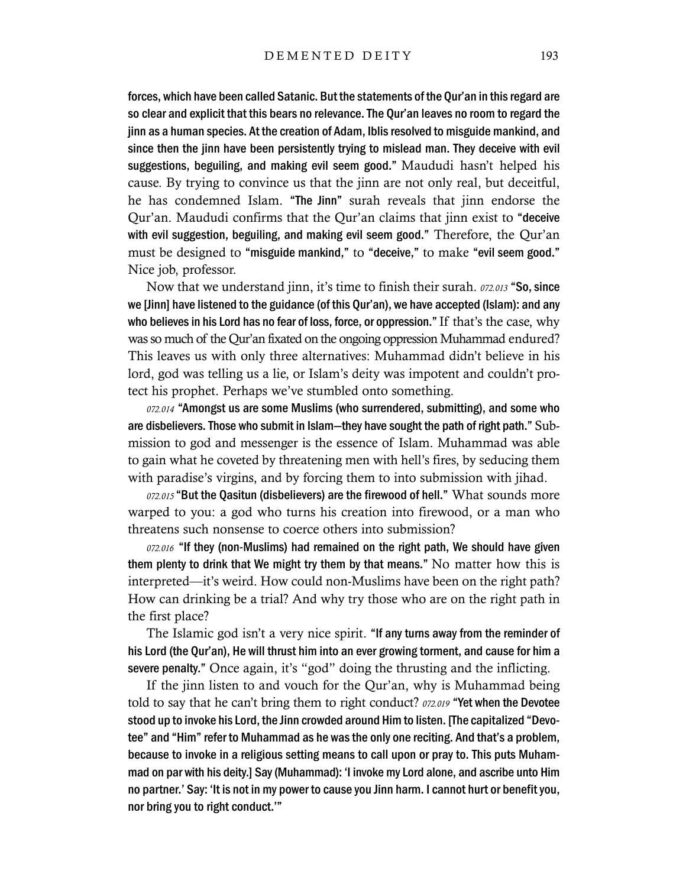forces, which have been called Satanic. But the statements of the Qur'an in this regard are so clear and explicit that this bears no relevance. The Qur'an leaves no room to regard the jinn as a human species. At the creation of Adam, Iblis resolved to misguide mankind, and since then the jinn have been persistently trying to mislead man. They deceive with evil suggestions, beguiling, and making evil seem good." Maududi hasn't helped his cause. By trying to convince us that the jinn are not only real, but deceitful, he has condemned Islam. "The Jinn" surah reveals that jinn endorse the Qur'an. Maududi confirms that the Qur'an claims that jinn exist to "deceive with evil suggestion, beguiling, and making evil seem good." Therefore, the Qur'an must be designed to "misguide mankind," to "deceive," to make "evil seem good." Nice job, professor.

Now that we understand jinn, it's time to finish their surah. *072.013* "So, since we [Jinn] have listened to the guidance (of this Qur'an), we have accepted (Islam): and any who believes in his Lord has no fear of loss, force, or oppression." If that's the case, why was so much of the Qur'an fixated on the ongoing oppression Muhammad endured? This leaves us with only three alternatives: Muhammad didn't believe in his lord, god was telling us a lie, or Islam's deity was impotent and couldn't protect his prophet. Perhaps we've stumbled onto something.

*072.014* "Amongst us are some Muslims (who surrendered, submitting), and some who are disbelievers. Those who submit in Islam—they have sought the path of right path." Submission to god and messenger is the essence of Islam. Muhammad was able to gain what he coveted by threatening men with hell's fires, by seducing them with paradise's virgins, and by forcing them to into submission with jihad.

*072.015* "But the Qasitun (disbelievers) are the firewood of hell." What sounds more warped to you: a god who turns his creation into firewood, or a man who threatens such nonsense to coerce others into submission?

*072.016* "If they (non-Muslims) had remained on the right path, We should have given them plenty to drink that We might try them by that means." No matter how this is interpreted—it's weird. How could non-Muslims have been on the right path? How can drinking be a trial? And why try those who are on the right path in the first place?

The Islamic god isn't a very nice spirit. "If any turns away from the reminder of his Lord (the Qur'an), He will thrust him into an ever growing torment, and cause for him a severe penalty." Once again, it's "god" doing the thrusting and the inflicting.

If the jinn listen to and vouch for the Qur'an, why is Muhammad being told to say that he can't bring them to right conduct? *072.019* "Yet when the Devotee stood up to invoke his Lord, the Jinn crowded around Him to listen. [The capitalized "Devotee" and "Him" refer to Muhammad as he was the only one reciting. And that's a problem, because to invoke in a religious setting means to call upon or pray to. This puts Muhammad on par with his deity.] Say (Muhammad): 'I invoke my Lord alone, and ascribe unto Him no partner.' Say: 'It is not in my power to cause you Jinn harm. I cannot hurt or benefit you, nor bring you to right conduct.'"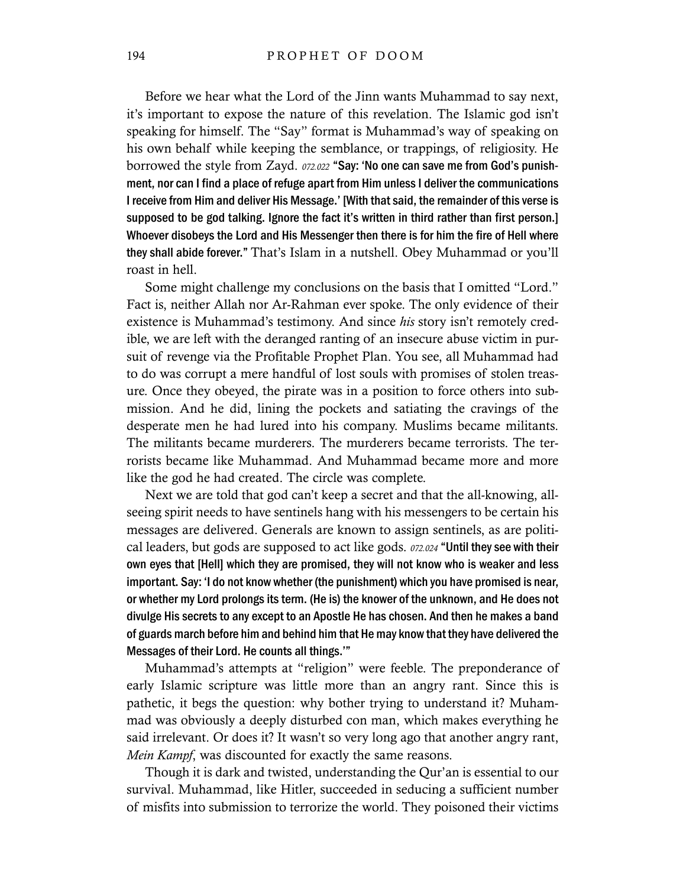Before we hear what the Lord of the Jinn wants Muhammad to say next, it's important to expose the nature of this revelation. The Islamic god isn't speaking for himself. The "Say" format is Muhammad's way of speaking on his own behalf while keeping the semblance, or trappings, of religiosity. He borrowed the style from Zayd. *072.022* "Say: 'No one can save me from God's punishment, nor can I find a place of refuge apart from Him unless I deliver the communications I receive from Him and deliver His Message.' [With that said, the remainder of this verse is supposed to be god talking. Ignore the fact it's written in third rather than first person.] Whoever disobeys the Lord and His Messenger then there is for him the fire of Hell where they shall abide forever." That's Islam in a nutshell. Obey Muhammad or you'll roast in hell.

Some might challenge my conclusions on the basis that I omitted "Lord." Fact is, neither Allah nor Ar-Rahman ever spoke. The only evidence of their existence is Muhammad's testimony. And since *his* story isn't remotely credible, we are left with the deranged ranting of an insecure abuse victim in pursuit of revenge via the Profitable Prophet Plan. You see, all Muhammad had to do was corrupt a mere handful of lost souls with promises of stolen treasure. Once they obeyed, the pirate was in a position to force others into submission. And he did, lining the pockets and satiating the cravings of the desperate men he had lured into his company. Muslims became militants. The militants became murderers. The murderers became terrorists. The terrorists became like Muhammad. And Muhammad became more and more like the god he had created. The circle was complete.

Next we are told that god can't keep a secret and that the all-knowing, allseeing spirit needs to have sentinels hang with his messengers to be certain his messages are delivered. Generals are known to assign sentinels, as are political leaders, but gods are supposed to act like gods. *072.024* "Until they see with their own eyes that [Hell] which they are promised, they will not know who is weaker and less important. Say: 'I do not know whether (the punishment) which you have promised is near, or whether my Lord prolongs its term. (He is) the knower of the unknown, and He does not divulge His secrets to any except to an Apostle He has chosen. And then he makes a band of guards march before him and behind him that He may know that they have delivered the Messages of their Lord. He counts all things.'"

Muhammad's attempts at "religion" were feeble. The preponderance of early Islamic scripture was little more than an angry rant. Since this is pathetic, it begs the question: why bother trying to understand it? Muhammad was obviously a deeply disturbed con man, which makes everything he said irrelevant. Or does it? It wasn't so very long ago that another angry rant, *Mein Kampf*, was discounted for exactly the same reasons.

Though it is dark and twisted, understanding the Qur'an is essential to our survival. Muhammad, like Hitler, succeeded in seducing a sufficient number of misfits into submission to terrorize the world. They poisoned their victims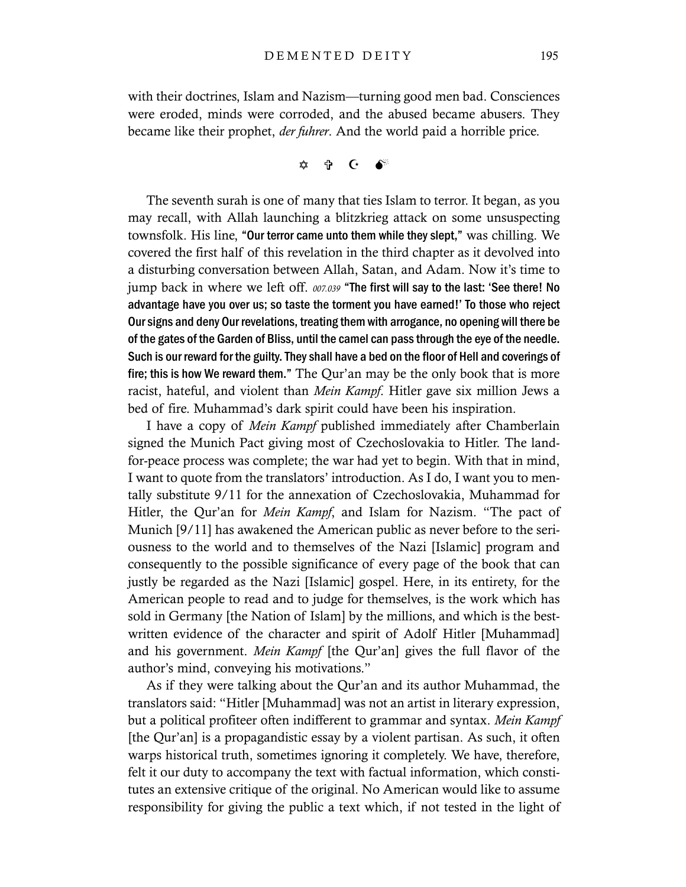with their doctrines, Islam and Nazism—turning good men bad. Consciences were eroded, minds were corroded, and the abused became abusers. They became like their prophet, *der fuhrer*. And the world paid a horrible price.

@ = A 0

The seventh surah is one of many that ties Islam to terror. It began, as you may recall, with Allah launching a blitzkrieg attack on some unsuspecting townsfolk. His line, "Our terror came unto them while they slept," was chilling. We covered the first half of this revelation in the third chapter as it devolved into a disturbing conversation between Allah, Satan, and Adam. Now it's time to jump back in where we left off. *007.039* "The first will say to the last: 'See there! No advantage have you over us; so taste the torment you have earned!' To those who reject Our signs and deny Our revelations, treating them with arrogance, no opening will there be of the gates of the Garden of Bliss, until the camel can pass through the eye of the needle. Such is our reward for the guilty. They shall have a bed on the floor of Hell and coverings of fire; this is how We reward them." The Qur'an may be the only book that is more racist, hateful, and violent than *Mein Kampf*. Hitler gave six million Jews a bed of fire. Muhammad's dark spirit could have been his inspiration.

I have a copy of *Mein Kampf* published immediately after Chamberlain signed the Munich Pact giving most of Czechoslovakia to Hitler. The landfor-peace process was complete; the war had yet to begin. With that in mind, I want to quote from the translators' introduction. As I do, I want you to mentally substitute 9/11 for the annexation of Czechoslovakia, Muhammad for Hitler, the Qur'an for *Mein Kampf*, and Islam for Nazism. "The pact of Munich [9/11] has awakened the American public as never before to the seriousness to the world and to themselves of the Nazi [Islamic] program and consequently to the possible significance of every page of the book that can justly be regarded as the Nazi [Islamic] gospel. Here, in its entirety, for the American people to read and to judge for themselves, is the work which has sold in Germany [the Nation of Islam] by the millions, and which is the bestwritten evidence of the character and spirit of Adolf Hitler [Muhammad] and his government. *Mein Kampf* [the Qur'an] gives the full flavor of the author's mind, conveying his motivations."

As if they were talking about the Qur'an and its author Muhammad, the translators said: "Hitler [Muhammad] was not an artist in literary expression, but a political profiteer often indifferent to grammar and syntax. *Mein Kampf* [the Qur'an] is a propagandistic essay by a violent partisan. As such, it often warps historical truth, sometimes ignoring it completely. We have, therefore, felt it our duty to accompany the text with factual information, which constitutes an extensive critique of the original. No American would like to assume responsibility for giving the public a text which, if not tested in the light of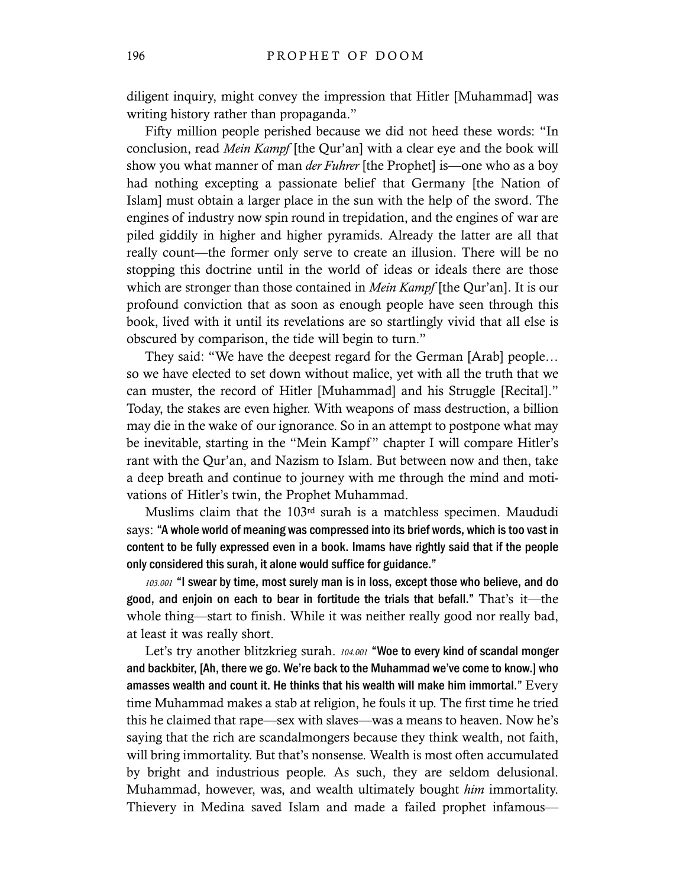diligent inquiry, might convey the impression that Hitler [Muhammad] was writing history rather than propaganda."

Fifty million people perished because we did not heed these words: "In conclusion, read *Mein Kampf* [the Qur'an] with a clear eye and the book will show you what manner of man *der Fuhrer* [the Prophet] is—one who as a boy had nothing excepting a passionate belief that Germany [the Nation of Islam] must obtain a larger place in the sun with the help of the sword. The engines of industry now spin round in trepidation, and the engines of war are piled giddily in higher and higher pyramids. Already the latter are all that really count—the former only serve to create an illusion. There will be no stopping this doctrine until in the world of ideas or ideals there are those which are stronger than those contained in *Mein Kampf* [the Qur'an]. It is our profound conviction that as soon as enough people have seen through this book, lived with it until its revelations are so startlingly vivid that all else is obscured by comparison, the tide will begin to turn."

They said: "We have the deepest regard for the German [Arab] people… so we have elected to set down without malice, yet with all the truth that we can muster, the record of Hitler [Muhammad] and his Struggle [Recital]." Today, the stakes are even higher. With weapons of mass destruction, a billion may die in the wake of our ignorance. So in an attempt to postpone what may be inevitable, starting in the "Mein Kampf" chapter I will compare Hitler's rant with the Qur'an, and Nazism to Islam. But between now and then, take a deep breath and continue to journey with me through the mind and motivations of Hitler's twin, the Prophet Muhammad.

Muslims claim that the 103rd surah is a matchless specimen. Maududi says: "A whole world of meaning was compressed into its brief words, which is too vast in content to be fully expressed even in a book. Imams have rightly said that if the people only considered this surah, it alone would suffice for guidance."

*103.001* "I swear by time, most surely man is in loss, except those who believe, and do good, and enjoin on each to bear in fortitude the trials that befall." That's it—the whole thing—start to finish. While it was neither really good nor really bad, at least it was really short.

Let's try another blitzkrieg surah. *104.001* "Woe to every kind of scandal monger and backbiter, [Ah, there we go. We're back to the Muhammad we've come to know.] who amasses wealth and count it. He thinks that his wealth will make him immortal." Every time Muhammad makes a stab at religion, he fouls it up. The first time he tried this he claimed that rape—sex with slaves—was a means to heaven. Now he's saying that the rich are scandalmongers because they think wealth, not faith, will bring immortality. But that's nonsense. Wealth is most often accumulated by bright and industrious people. As such, they are seldom delusional. Muhammad, however, was, and wealth ultimately bought *him* immortality. Thievery in Medina saved Islam and made a failed prophet infamous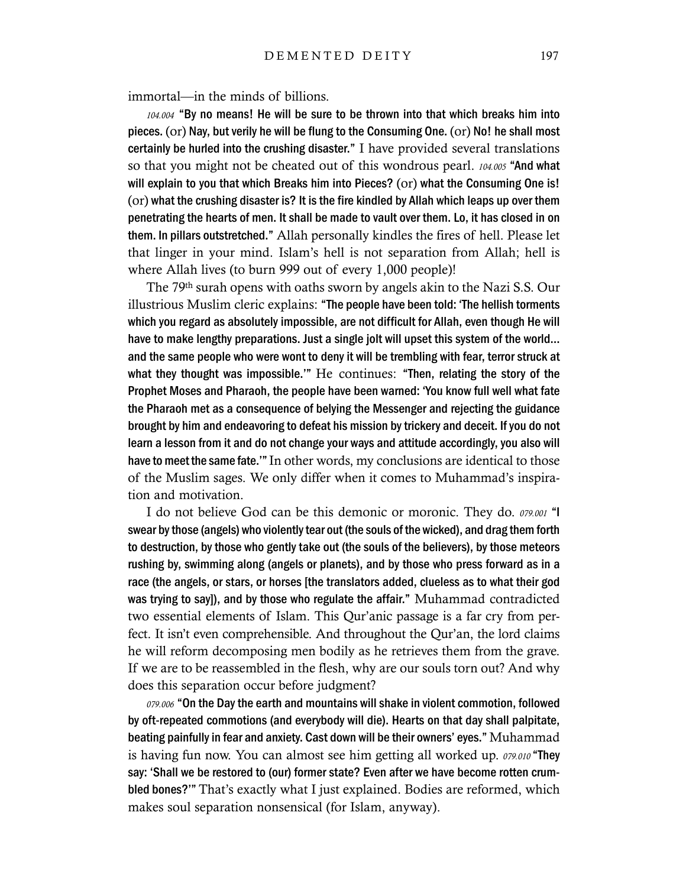immortal—in the minds of billions.

*104.004* "By no means! He will be sure to be thrown into that which breaks him into pieces. (or) Nay, but verily he will be flung to the Consuming One. (or) No! he shall most certainly be hurled into the crushing disaster." I have provided several translations so that you might not be cheated out of this wondrous pearl. *104.005* "And what will explain to you that which Breaks him into Pieces? (or) what the Consuming One is! (or) what the crushing disaster is? It is the fire kindled by Allah which leaps up over them penetrating the hearts of men. It shall be made to vault over them. Lo, it has closed in on them. In pillars outstretched." Allah personally kindles the fires of hell. Please let that linger in your mind. Islam's hell is not separation from Allah; hell is where Allah lives (to burn 999 out of every 1,000 people)!

The 79th surah opens with oaths sworn by angels akin to the Nazi S.S. Our illustrious Muslim cleric explains: "The people have been told: 'The hellish torments which you regard as absolutely impossible, are not difficult for Allah, even though He will have to make lengthy preparations. Just a single jolt will upset this system of the world… and the same people who were wont to deny it will be trembling with fear, terror struck at what they thought was impossible.'" He continues: "Then, relating the story of the Prophet Moses and Pharaoh, the people have been warned: 'You know full well what fate the Pharaoh met as a consequence of belying the Messenger and rejecting the guidance brought by him and endeavoring to defeat his mission by trickery and deceit. If you do not learn a lesson from it and do not change your ways and attitude accordingly, you also will have to meet the same fate.'" In other words, my conclusions are identical to those of the Muslim sages. We only differ when it comes to Muhammad's inspiration and motivation.

I do not believe God can be this demonic or moronic. They do. *079.001* "I swear by those (angels) who violently tear out (the souls of the wicked), and drag them forth to destruction, by those who gently take out (the souls of the believers), by those meteors rushing by, swimming along (angels or planets), and by those who press forward as in a race (the angels, or stars, or horses [the translators added, clueless as to what their god was trying to say]), and by those who regulate the affair." Muhammad contradicted two essential elements of Islam. This Qur'anic passage is a far cry from perfect. It isn't even comprehensible. And throughout the Qur'an, the lord claims he will reform decomposing men bodily as he retrieves them from the grave. If we are to be reassembled in the flesh, why are our souls torn out? And why does this separation occur before judgment?

*079.006* "On the Day the earth and mountains will shake in violent commotion, followed by oft-repeated commotions (and everybody will die). Hearts on that day shall palpitate, beating painfully in fear and anxiety. Cast down will be their owners' eyes." Muhammad is having fun now. You can almost see him getting all worked up. *079.010* "They say: 'Shall we be restored to (our) former state? Even after we have become rotten crumbled bones?'" That's exactly what I just explained. Bodies are reformed, which makes soul separation nonsensical (for Islam, anyway).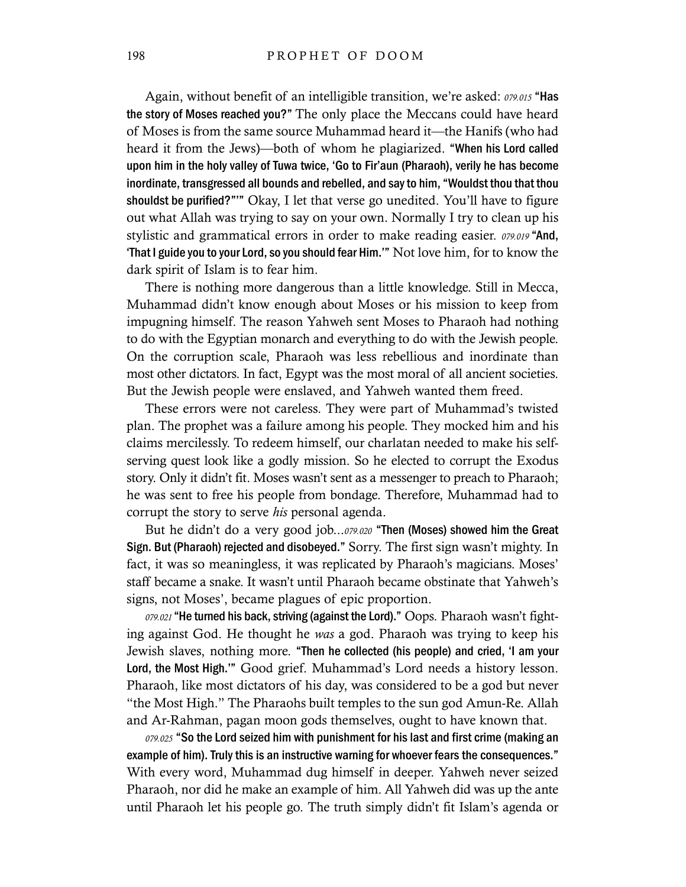Again, without benefit of an intelligible transition, we're asked: *079.015* "Has the story of Moses reached you?" The only place the Meccans could have heard of Moses is from the same source Muhammad heard it—the Hanifs (who had heard it from the Jews)—both of whom he plagiarized. "When his Lord called upon him in the holy valley of Tuwa twice, 'Go to Fir'aun (Pharaoh), verily he has become inordinate, transgressed all bounds and rebelled, and say to him, "Wouldst thou that thou shouldst be purified?"'" Okay, I let that verse go unedited. You'll have to figure out what Allah was trying to say on your own. Normally I try to clean up his stylistic and grammatical errors in order to make reading easier. *079.019* "And, 'That I guide you to your Lord, so you should fear Him.'" Not love him, for to know the dark spirit of Islam is to fear him.

There is nothing more dangerous than a little knowledge. Still in Mecca, Muhammad didn't know enough about Moses or his mission to keep from impugning himself. The reason Yahweh sent Moses to Pharaoh had nothing to do with the Egyptian monarch and everything to do with the Jewish people. On the corruption scale, Pharaoh was less rebellious and inordinate than most other dictators. In fact, Egypt was the most moral of all ancient societies. But the Jewish people were enslaved, and Yahweh wanted them freed.

These errors were not careless. They were part of Muhammad's twisted plan. The prophet was a failure among his people. They mocked him and his claims mercilessly. To redeem himself, our charlatan needed to make his selfserving quest look like a godly mission. So he elected to corrupt the Exodus story. Only it didn't fit. Moses wasn't sent as a messenger to preach to Pharaoh; he was sent to free his people from bondage. Therefore, Muhammad had to corrupt the story to serve *his* personal agenda.

But he didn't do a very good job...*079.020* "Then (Moses) showed him the Great Sign. But (Pharaoh) rejected and disobeyed." Sorry. The first sign wasn't mighty. In fact, it was so meaningless, it was replicated by Pharaoh's magicians. Moses' staff became a snake. It wasn't until Pharaoh became obstinate that Yahweh's signs, not Moses', became plagues of epic proportion.

*079.021* "He turned his back, striving (against the Lord)." Oops. Pharaoh wasn't fighting against God. He thought he *was* a god. Pharaoh was trying to keep his Jewish slaves, nothing more. "Then he collected (his people) and cried, 'I am your Lord, the Most High.'" Good grief. Muhammad's Lord needs a history lesson. Pharaoh, like most dictators of his day, was considered to be a god but never "the Most High." The Pharaohs built temples to the sun god Amun-Re. Allah and Ar-Rahman, pagan moon gods themselves, ought to have known that.

*079.025* "So the Lord seized him with punishment for his last and first crime (making an example of him). Truly this is an instructive warning for whoever fears the consequences." With every word, Muhammad dug himself in deeper. Yahweh never seized Pharaoh, nor did he make an example of him. All Yahweh did was up the ante until Pharaoh let his people go. The truth simply didn't fit Islam's agenda or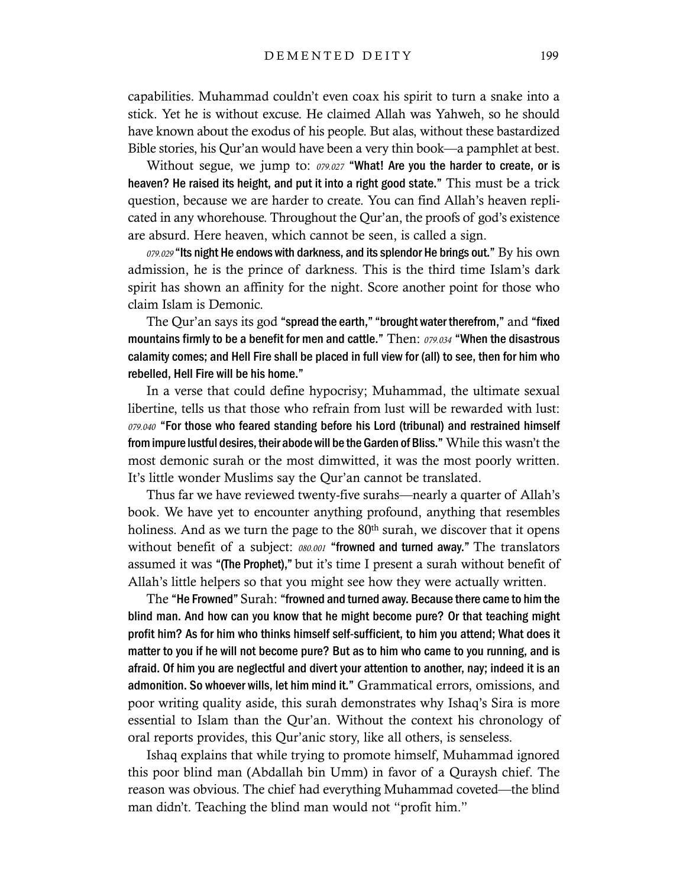capabilities. Muhammad couldn't even coax his spirit to turn a snake into a stick. Yet he is without excuse. He claimed Allah was Yahweh, so he should have known about the exodus of his people. But alas, without these bastardized Bible stories, his Qur'an would have been a very thin book—a pamphlet at best.

Without segue, we jump to: 079.027 "What! Are you the harder to create, or is heaven? He raised its height, and put it into a right good state." This must be a trick question, because we are harder to create. You can find Allah's heaven replicated in any whorehouse. Throughout the Qur'an, the proofs of god's existence are absurd. Here heaven, which cannot be seen, is called a sign.

*079.029* "Its night He endows with darkness, and its splendor He brings out." By his own admission, he is the prince of darkness. This is the third time Islam's dark spirit has shown an affinity for the night. Score another point for those who claim Islam is Demonic.

The Qur'an says its god "spread the earth," "brought water therefrom," and "fixed mountains firmly to be a benefit for men and cattle." Then: *079.034* "When the disastrous calamity comes; and Hell Fire shall be placed in full view for (all) to see, then for him who rebelled, Hell Fire will be his home."

In a verse that could define hypocrisy; Muhammad, the ultimate sexual libertine, tells us that those who refrain from lust will be rewarded with lust: *079.040* "For those who feared standing before his Lord (tribunal) and restrained himself from impure lustful desires, their abode will be the Garden of Bliss." While this wasn't the most demonic surah or the most dimwitted, it was the most poorly written. It's little wonder Muslims say the Qur'an cannot be translated.

Thus far we have reviewed twenty-five surahs—nearly a quarter of Allah's book. We have yet to encounter anything profound, anything that resembles holiness. And as we turn the page to the 80<sup>th</sup> surah, we discover that it opens without benefit of a subject: *080.001* "frowned and turned away." The translators assumed it was "(The Prophet)," but it's time I present a surah without benefit of Allah's little helpers so that you might see how they were actually written.

The "He Frowned" Surah: "frowned and turned away. Because there came to him the blind man. And how can you know that he might become pure? Or that teaching might profit him? As for him who thinks himself self-sufficient, to him you attend; What does it matter to you if he will not become pure? But as to him who came to you running, and is afraid. Of him you are neglectful and divert your attention to another, nay; indeed it is an admonition. So whoever wills, let him mind it." Grammatical errors, omissions, and poor writing quality aside, this surah demonstrates why Ishaq's Sira is more essential to Islam than the Qur'an. Without the context his chronology of oral reports provides, this Qur'anic story, like all others, is senseless.

Ishaq explains that while trying to promote himself, Muhammad ignored this poor blind man (Abdallah bin Umm) in favor of a Quraysh chief. The reason was obvious. The chief had everything Muhammad coveted—the blind man didn't. Teaching the blind man would not "profit him."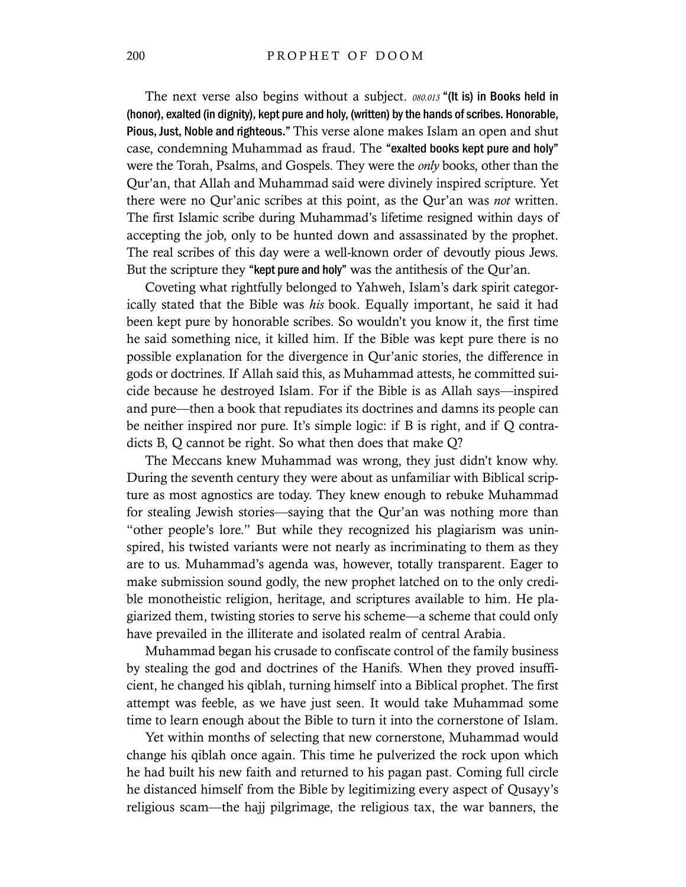The next verse also begins without a subject. *080.013* "(It is) in Books held in (honor), exalted (in dignity), kept pure and holy, (written) by the hands of scribes. Honorable, Pious, Just, Noble and righteous." This verse alone makes Islam an open and shut case, condemning Muhammad as fraud. The "exalted books kept pure and holy" were the Torah, Psalms, and Gospels. They were the *only* books, other than the Qur'an, that Allah and Muhammad said were divinely inspired scripture. Yet there were no Qur'anic scribes at this point, as the Qur'an was *not* written. The first Islamic scribe during Muhammad's lifetime resigned within days of accepting the job, only to be hunted down and assassinated by the prophet. The real scribes of this day were a well-known order of devoutly pious Jews. But the scripture they "kept pure and holy" was the antithesis of the Qur'an.

Coveting what rightfully belonged to Yahweh, Islam's dark spirit categorically stated that the Bible was *his* book. Equally important, he said it had been kept pure by honorable scribes. So wouldn't you know it, the first time he said something nice, it killed him. If the Bible was kept pure there is no possible explanation for the divergence in Qur'anic stories, the difference in gods or doctrines. If Allah said this, as Muhammad attests, he committed suicide because he destroyed Islam. For if the Bible is as Allah says—inspired and pure—then a book that repudiates its doctrines and damns its people can be neither inspired nor pure. It's simple logic: if B is right, and if Q contradicts B, Q cannot be right. So what then does that make Q?

The Meccans knew Muhammad was wrong, they just didn't know why. During the seventh century they were about as unfamiliar with Biblical scripture as most agnostics are today. They knew enough to rebuke Muhammad for stealing Jewish stories—saying that the Qur'an was nothing more than "other people's lore." But while they recognized his plagiarism was uninspired, his twisted variants were not nearly as incriminating to them as they are to us. Muhammad's agenda was, however, totally transparent. Eager to make submission sound godly, the new prophet latched on to the only credible monotheistic religion, heritage, and scriptures available to him. He plagiarized them, twisting stories to serve his scheme—a scheme that could only have prevailed in the illiterate and isolated realm of central Arabia.

Muhammad began his crusade to confiscate control of the family business by stealing the god and doctrines of the Hanifs. When they proved insufficient, he changed his qiblah, turning himself into a Biblical prophet. The first attempt was feeble, as we have just seen. It would take Muhammad some time to learn enough about the Bible to turn it into the cornerstone of Islam.

Yet within months of selecting that new cornerstone, Muhammad would change his qiblah once again. This time he pulverized the rock upon which he had built his new faith and returned to his pagan past. Coming full circle he distanced himself from the Bible by legitimizing every aspect of Qusayy's religious scam—the hajj pilgrimage, the religious tax, the war banners, the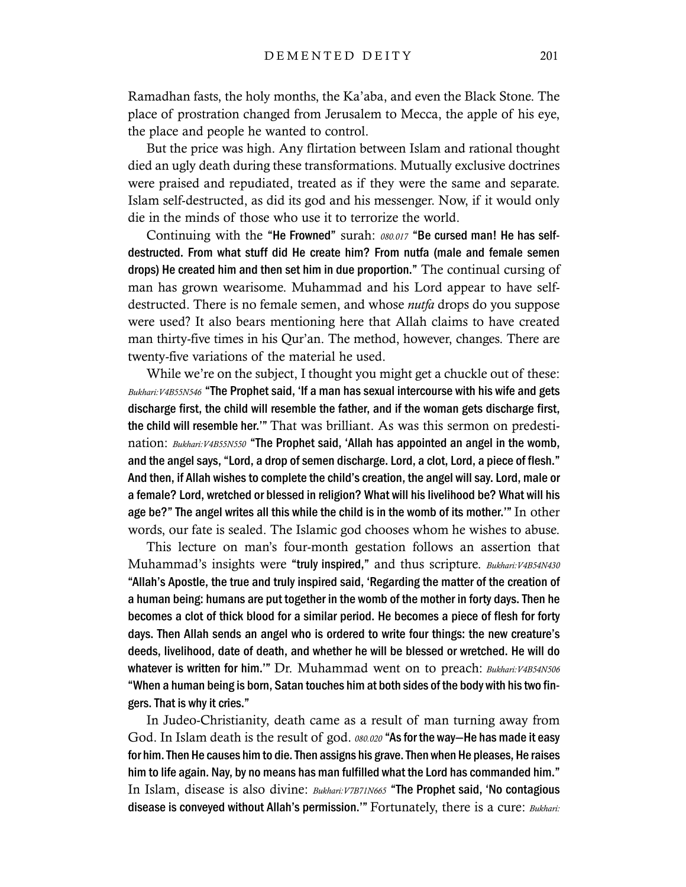Ramadhan fasts, the holy months, the Ka'aba, and even the Black Stone. The place of prostration changed from Jerusalem to Mecca, the apple of his eye, the place and people he wanted to control.

But the price was high. Any flirtation between Islam and rational thought died an ugly death during these transformations. Mutually exclusive doctrines were praised and repudiated, treated as if they were the same and separate. Islam self-destructed, as did its god and his messenger. Now, if it would only die in the minds of those who use it to terrorize the world.

Continuing with the "He Frowned" surah: *080.017* "Be cursed man! He has selfdestructed. From what stuff did He create him? From nutfa (male and female semen drops) He created him and then set him in due proportion." The continual cursing of man has grown wearisome. Muhammad and his Lord appear to have selfdestructed. There is no female semen, and whose *nutfa* drops do you suppose were used? It also bears mentioning here that Allah claims to have created man thirty-five times in his Qur'an. The method, however, changes. There are twenty-five variations of the material he used.

While we're on the subject, I thought you might get a chuckle out of these: *Bukhari:V4B55N546* "The Prophet said, 'If a man has sexual intercourse with his wife and gets discharge first, the child will resemble the father, and if the woman gets discharge first, the child will resemble her.'" That was brilliant. As was this sermon on predestination: *Bukhari:V4B55N550* "The Prophet said, 'Allah has appointed an angel in the womb, and the angel says, "Lord, a drop of semen discharge. Lord, a clot, Lord, a piece of flesh." And then, if Allah wishes to complete the child's creation, the angel will say. Lord, male or a female? Lord, wretched or blessed in religion? What will his livelihood be? What will his age be?" The angel writes all this while the child is in the womb of its mother.'" In other words, our fate is sealed. The Islamic god chooses whom he wishes to abuse.

This lecture on man's four-month gestation follows an assertion that Muhammad's insights were "truly inspired," and thus scripture. *Bukhari:V4B54N430* "Allah's Apostle, the true and truly inspired said, 'Regarding the matter of the creation of a human being: humans are put together in the womb of the mother in forty days. Then he becomes a clot of thick blood for a similar period. He becomes a piece of flesh for forty days. Then Allah sends an angel who is ordered to write four things: the new creature's deeds, livelihood, date of death, and whether he will be blessed or wretched. He will do whatever is written for him.'" Dr. Muhammad went on to preach: *Bukhari:V4B54N506* "When a human being is born, Satan touches him at both sides of the body with his two fingers. That is why it cries."

In Judeo-Christianity, death came as a result of man turning away from God. In Islam death is the result of god. *080.020* "As for the way—He has made it easy for him. Then He causes him to die. Then assigns his grave. Then when He pleases, He raises him to life again. Nay, by no means has man fulfilled what the Lord has commanded him." In Islam, disease is also divine: *Bukhari:V7B71N665* "The Prophet said, 'No contagious disease is conveyed without Allah's permission.'" Fortunately, there is a cure: *Bukhari:*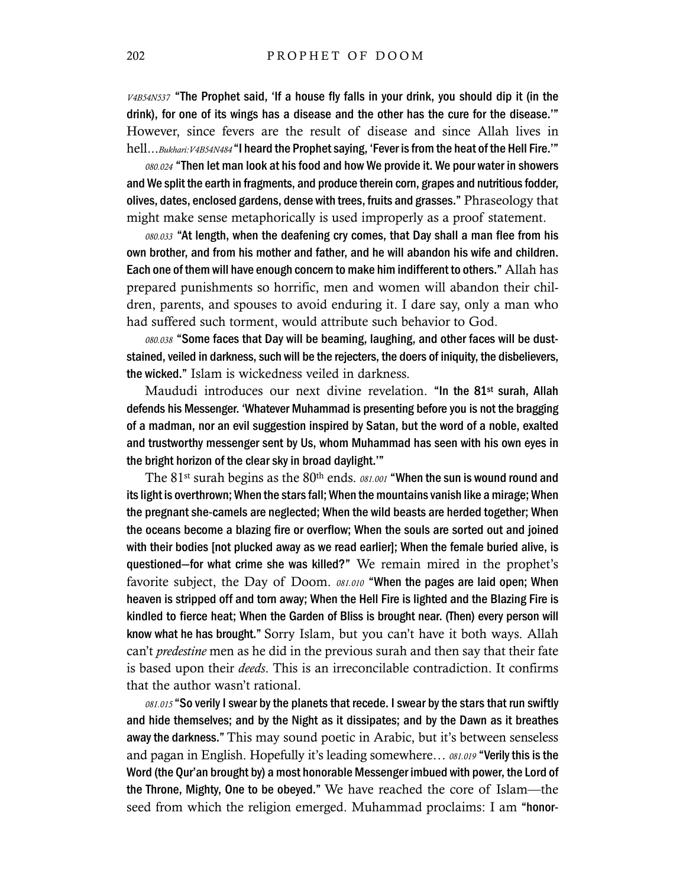*V4B54N537* "The Prophet said, 'If a house fly falls in your drink, you should dip it (in the drink), for one of its wings has a disease and the other has the cure for the disease.'" However, since fevers are the result of disease and since Allah lives in hell...*Bukhari:V4B54N484* "I heard the Prophet saying, 'Fever is from the heat of the Hell Fire.'"

*080.024* "Then let man look at his food and how We provide it. We pour water in showers and We split the earth in fragments, and produce therein corn, grapes and nutritious fodder, olives, dates, enclosed gardens, dense with trees, fruits and grasses." Phraseology that might make sense metaphorically is used improperly as a proof statement.

*080.033* "At length, when the deafening cry comes, that Day shall a man flee from his own brother, and from his mother and father, and he will abandon his wife and children. Each one of them will have enough concern to make him indifferent to others." Allah has prepared punishments so horrific, men and women will abandon their children, parents, and spouses to avoid enduring it. I dare say, only a man who had suffered such torment, would attribute such behavior to God.

*080.038* "Some faces that Day will be beaming, laughing, and other faces will be duststained, veiled in darkness, such will be the rejecters, the doers of iniquity, the disbelievers, the wicked." Islam is wickedness veiled in darkness.

Maududi introduces our next divine revelation. "In the 81<sup>st</sup> surah, Allah defends his Messenger. 'Whatever Muhammad is presenting before you is not the bragging of a madman, nor an evil suggestion inspired by Satan, but the word of a noble, exalted and trustworthy messenger sent by Us, whom Muhammad has seen with his own eyes in the bright horizon of the clear sky in broad daylight.'"

The 81<sup>st</sup> surah begins as the 80<sup>th</sup> ends. 081.001 "When the sun is wound round and its light is overthrown; When the stars fall; When the mountains vanish like a mirage; When the pregnant she-camels are neglected; When the wild beasts are herded together; When the oceans become a blazing fire or overflow; When the souls are sorted out and joined with their bodies [not plucked away as we read earlier]; When the female buried alive, is questioned—for what crime she was killed?" We remain mired in the prophet's favorite subject, the Day of Doom. *081.010* "When the pages are laid open; When heaven is stripped off and torn away; When the Hell Fire is lighted and the Blazing Fire is kindled to fierce heat; When the Garden of Bliss is brought near. (Then) every person will know what he has brought." Sorry Islam, but you can't have it both ways. Allah can't *predestine* men as he did in the previous surah and then say that their fate is based upon their *deeds*. This is an irreconcilable contradiction. It confirms that the author wasn't rational.

*081.015* "So verily I swear by the planets that recede. I swear by the stars that run swiftly and hide themselves; and by the Night as it dissipates; and by the Dawn as it breathes away the darkness." This may sound poetic in Arabic, but it's between senseless and pagan in English. Hopefully it's leading somewhere… *081.019* "Verilythis is the Word (the Qur'an brought by) a most honorable Messenger imbued with power, the Lord of the Throne, Mighty, One to be obeyed." We have reached the core of Islam—the seed from which the religion emerged. Muhammad proclaims: I am "honor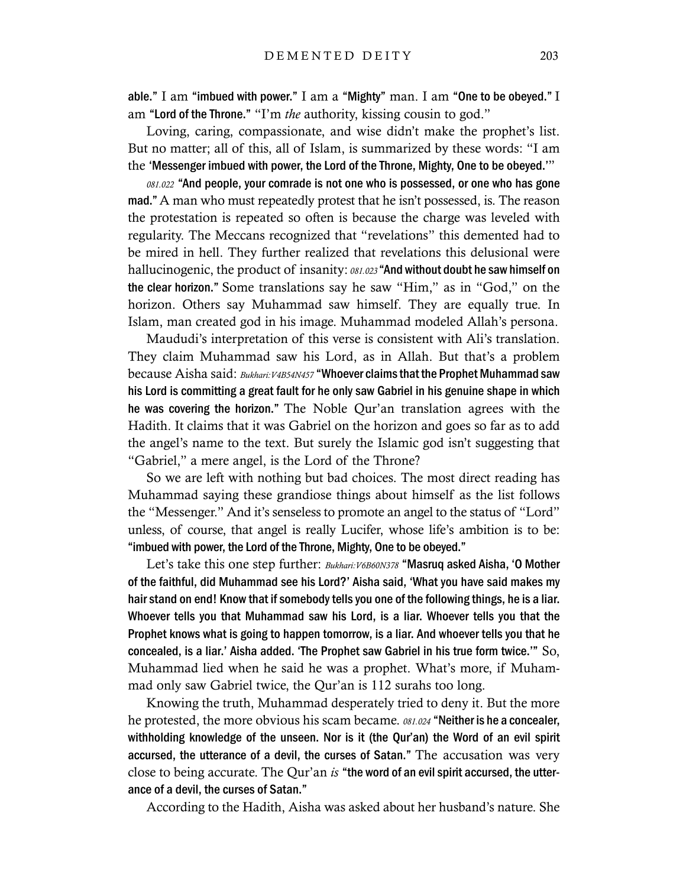able." I am "imbued with power." I am a "Mighty" man. I am "One to be obeyed." I am "Lord of the Throne." "I'm *the* authority, kissing cousin to god."

Loving, caring, compassionate, and wise didn't make the prophet's list. But no matter; all of this, all of Islam, is summarized by these words: "I am the 'Messenger imbued with power, the Lord of the Throne, Mighty, One to be obeyed.'"

*081.022* "And people, your comrade is not one who is possessed, or one who has gone mad." A man who must repeatedly protest that he isn't possessed, is. The reason the protestation is repeated so often is because the charge was leveled with regularity. The Meccans recognized that "revelations" this demented had to be mired in hell. They further realized that revelations this delusional were hallucinogenic, the product of insanity: *081.023* "And without doubt he saw himself on the clear horizon." Some translations say he saw "Him," as in "God," on the horizon. Others say Muhammad saw himself. They are equally true. In Islam, man created god in his image. Muhammad modeled Allah's persona.

Maududi's interpretation of this verse is consistent with Ali's translation. They claim Muhammad saw his Lord, as in Allah. But that's a problem because Aisha said: *Bukhari:V4B54N457* "Whoever claims that the Prophet Muhammad saw his Lord is committing a great fault for he only saw Gabriel in his genuine shape in which he was covering the horizon." The Noble Qur'an translation agrees with the Hadith. It claims that it was Gabriel on the horizon and goes so far as to add the angel's name to the text. But surely the Islamic god isn't suggesting that "Gabriel," a mere angel, is the Lord of the Throne?

So we are left with nothing but bad choices. The most direct reading has Muhammad saying these grandiose things about himself as the list follows the "Messenger." And it's senseless to promote an angel to the status of "Lord" unless, of course, that angel is really Lucifer, whose life's ambition is to be: "imbued with power, the Lord of the Throne, Mighty, One to be obeyed."

Let's take this one step further: *Bukhari:V6B60N378* "Masruq asked Aisha, 'O Mother of the faithful, did Muhammad see his Lord?' Aisha said, 'What you have said makes my hair stand on end! Know that if somebody tells you one of the following things, he is a liar. Whoever tells you that Muhammad saw his Lord, is a liar. Whoever tells you that the Prophet knows what is going to happen tomorrow, is a liar. And whoever tells you that he concealed, is a liar.' Aisha added. 'The Prophet saw Gabriel in his true form twice.'" So, Muhammad lied when he said he was a prophet. What's more, if Muhammad only saw Gabriel twice, the Qur'an is 112 surahs too long.

Knowing the truth, Muhammad desperately tried to deny it. But the more he protested, the more obvious his scam became. *081.024* "Neither is he a concealer, withholding knowledge of the unseen. Nor is it (the Qur'an) the Word of an evil spirit accursed, the utterance of a devil, the curses of Satan." The accusation was very close to being accurate. The Qur'an *is* "the word of an evil spirit accursed, the utterance of a devil, the curses of Satan."

According to the Hadith, Aisha was asked about her husband's nature. She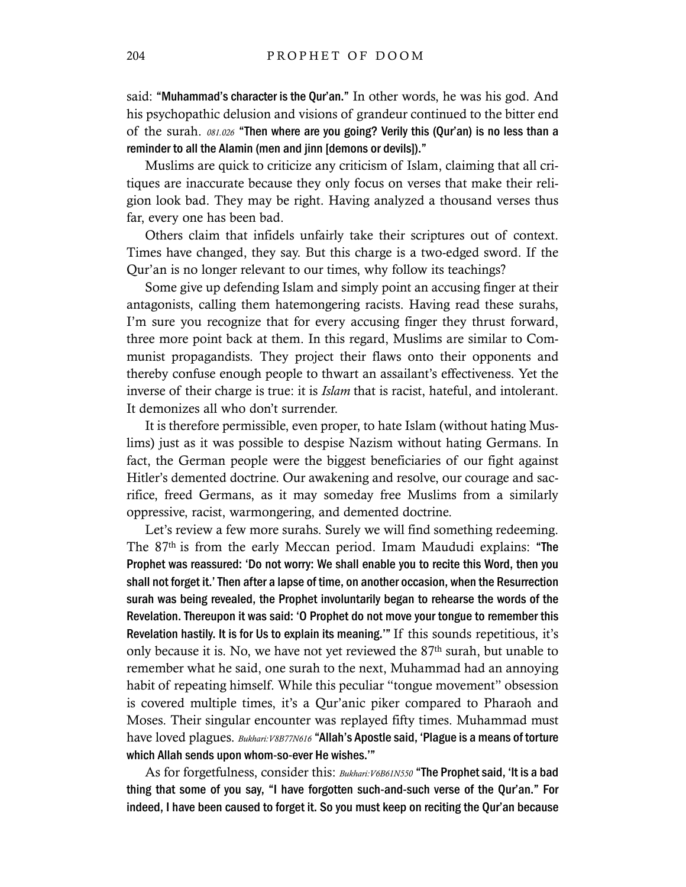said: "Muhammad's character is the Qur'an." In other words, he was his god. And his psychopathic delusion and visions of grandeur continued to the bitter end of the surah. *081.026* "Then where are you going? Verily this (Qur'an) is no less than a reminder to all the Alamin (men and jinn [demons or devils])."

Muslims are quick to criticize any criticism of Islam, claiming that all critiques are inaccurate because they only focus on verses that make their religion look bad. They may be right. Having analyzed a thousand verses thus far, every one has been bad.

Others claim that infidels unfairly take their scriptures out of context. Times have changed, they say. But this charge is a two-edged sword. If the Qur'an is no longer relevant to our times, why follow its teachings?

Some give up defending Islam and simply point an accusing finger at their antagonists, calling them hatemongering racists. Having read these surahs, I'm sure you recognize that for every accusing finger they thrust forward, three more point back at them. In this regard, Muslims are similar to Communist propagandists. They project their flaws onto their opponents and thereby confuse enough people to thwart an assailant's effectiveness. Yet the inverse of their charge is true: it is *Islam* that is racist, hateful, and intolerant. It demonizes all who don't surrender.

It is therefore permissible, even proper, to hate Islam (without hating Muslims) just as it was possible to despise Nazism without hating Germans. In fact, the German people were the biggest beneficiaries of our fight against Hitler's demented doctrine. Our awakening and resolve, our courage and sacrifice, freed Germans, as it may someday free Muslims from a similarly oppressive, racist, warmongering, and demented doctrine.

Let's review a few more surahs. Surely we will find something redeeming. The 87th is from the early Meccan period. Imam Maududi explains: "The Prophet was reassured: 'Do not worry: We shall enable you to recite this Word, then you shall not forget it.' Then after a lapse of time, on another occasion, when the Resurrection surah was being revealed, the Prophet involuntarily began to rehearse the words of the Revelation. Thereupon it was said: 'O Prophet do not move your tongue to remember this Revelation hastily. It is for Us to explain its meaning.'" If this sounds repetitious, it's only because it is. No, we have not yet reviewed the 87<sup>th</sup> surah, but unable to remember what he said, one surah to the next, Muhammad had an annoying habit of repeating himself. While this peculiar "tongue movement" obsession is covered multiple times, it's a Qur'anic piker compared to Pharaoh and Moses. Their singular encounter was replayed fifty times. Muhammad must have loved plagues. *Bukhari:V8B77N616* "Allah's Apostle said, 'Plague is a means of torture which Allah sends upon whom-so-ever He wishes.'"

As for forgetfulness, consider this: *Bukhari:V6B61N550* "The Prophet said, 'It is a bad thing that some of you say, "I have forgotten such-and-such verse of the Qur'an." For indeed, I have been caused to forget it. So you must keep on reciting the Qur'an because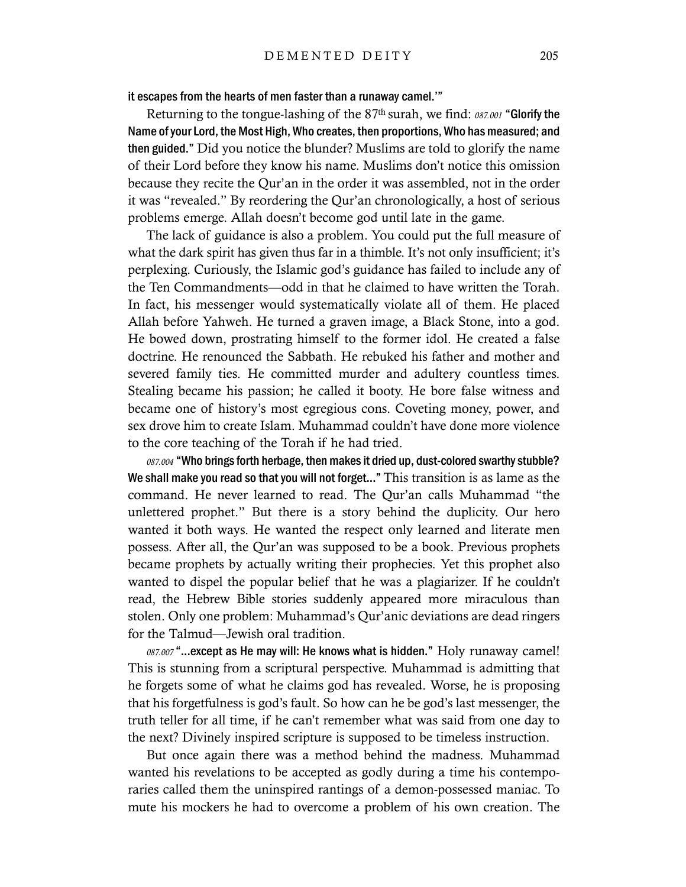it escapes from the hearts of men faster than a runaway camel.'"

Returning to the tongue-lashing of the 87th surah, we find: *087.001* "Glorify the Name of your Lord, the Most High, Who creates, then proportions, Who has measured; and then guided." Did you notice the blunder? Muslims are told to glorify the name of their Lord before they know his name. Muslims don't notice this omission because they recite the Qur'an in the order it was assembled, not in the order it was "revealed." By reordering the Qur'an chronologically, a host of serious problems emerge. Allah doesn't become god until late in the game.

The lack of guidance is also a problem. You could put the full measure of what the dark spirit has given thus far in a thimble. It's not only insufficient; it's perplexing. Curiously, the Islamic god's guidance has failed to include any of the Ten Commandments—odd in that he claimed to have written the Torah. In fact, his messenger would systematically violate all of them. He placed Allah before Yahweh. He turned a graven image, a Black Stone, into a god. He bowed down, prostrating himself to the former idol. He created a false doctrine. He renounced the Sabbath. He rebuked his father and mother and severed family ties. He committed murder and adultery countless times. Stealing became his passion; he called it booty. He bore false witness and became one of history's most egregious cons. Coveting money, power, and sex drove him to create Islam. Muhammad couldn't have done more violence to the core teaching of the Torah if he had tried.

*087.004* "Who brings forth herbage, then makes it dried up, dust-colored swarthy stubble? We shall make you read so that you will not forget..." This transition is as lame as the command. He never learned to read. The Qur'an calls Muhammad "the unlettered prophet." But there is a story behind the duplicity. Our hero wanted it both ways. He wanted the respect only learned and literate men possess. After all, the Qur'an was supposed to be a book. Previous prophets became prophets by actually writing their prophecies. Yet this prophet also wanted to dispel the popular belief that he was a plagiarizer. If he couldn't read, the Hebrew Bible stories suddenly appeared more miraculous than stolen. Only one problem: Muhammad's Qur'anic deviations are dead ringers for the Talmud—Jewish oral tradition.

*087.007* "...except as He may will: He knows what is hidden." Holy runaway camel! This is stunning from a scriptural perspective. Muhammad is admitting that he forgets some of what he claims god has revealed. Worse, he is proposing that his forgetfulness is god's fault. So how can he be god's last messenger, the truth teller for all time, if he can't remember what was said from one day to the next? Divinely inspired scripture is supposed to be timeless instruction.

But once again there was a method behind the madness. Muhammad wanted his revelations to be accepted as godly during a time his contemporaries called them the uninspired rantings of a demon-possessed maniac. To mute his mockers he had to overcome a problem of his own creation. The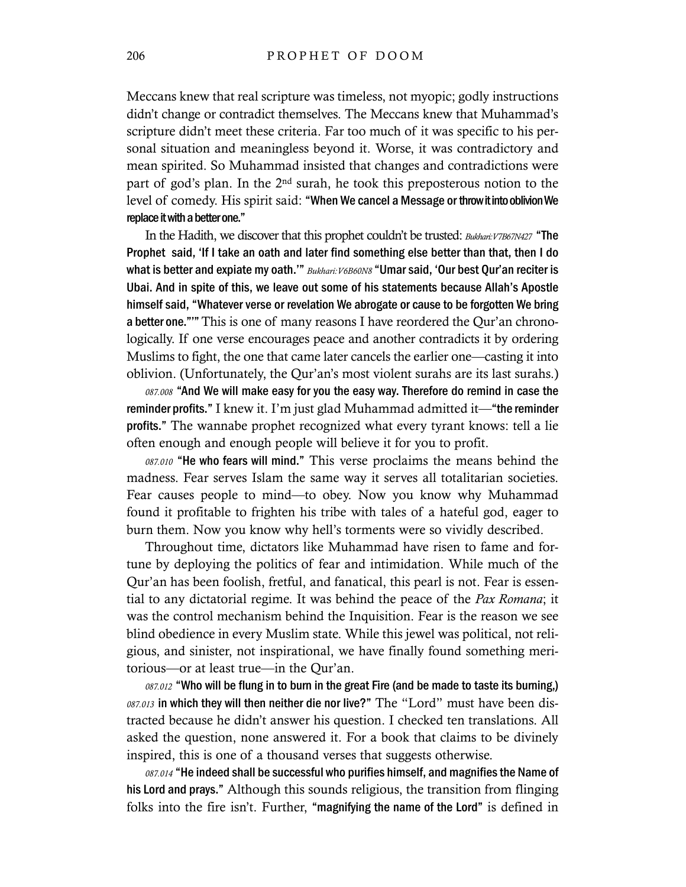Meccans knew that real scripture was timeless, not myopic; godly instructions didn't change or contradict themselves. The Meccans knew that Muhammad's scripture didn't meet these criteria. Far too much of it was specific to his personal situation and meaningless beyond it. Worse, it was contradictory and mean spirited. So Muhammad insisted that changes and contradictions were part of god's plan. In the 2nd surah, he took this preposterous notion to the level of comedy. His spirit said: "When We cancel a Message or throw it into oblivion We replace it with a better one."

In the Hadith, we discover that this prophet couldn't be trusted: *Bukhari:V7B67N427* "The Prophet said, 'If I take an oath and later find something else better than that, then I do what is better and expiate my oath.'" *Bukhari:V6B60N8* "Umar said, 'Our best Qur'an reciter is Ubai. And in spite of this, we leave out some of his statements because Allah's Apostle himself said, "Whatever verse or revelation We abrogate or cause to be forgotten We bring a better one."'" This is one of many reasons I have reordered the Qur'an chronologically. If one verse encourages peace and another contradicts it by ordering Muslims to fight, the one that came later cancels the earlier one—casting it into oblivion. (Unfortunately, the Qur'an's most violent surahs are its last surahs.)

*087.008* "And We will make easy for you the easy way. Therefore do remind in case the reminder profits." I knew it. I'm just glad Muhammad admitted it—"the reminder profits." The wannabe prophet recognized what every tyrant knows: tell a lie often enough and enough people will believe it for you to profit.

*087.010* "He who fears will mind." This verse proclaims the means behind the madness. Fear serves Islam the same way it serves all totalitarian societies. Fear causes people to mind—to obey. Now you know why Muhammad found it profitable to frighten his tribe with tales of a hateful god, eager to burn them. Now you know why hell's torments were so vividly described.

Throughout time, dictators like Muhammad have risen to fame and fortune by deploying the politics of fear and intimidation. While much of the Qur'an has been foolish, fretful, and fanatical, this pearl is not. Fear is essential to any dictatorial regime. It was behind the peace of the *Pax Romana*; it was the control mechanism behind the Inquisition. Fear is the reason we see blind obedience in every Muslim state. While this jewel was political, not religious, and sinister, not inspirational, we have finally found something meritorious—or at least true—in the Qur'an.

*087.012* "Who will be flung in to burn in the great Fire (and be made to taste its burning,) *087.013* in which they will then neither die nor live?" The "Lord" must have been distracted because he didn't answer his question. I checked ten translations. All asked the question, none answered it. For a book that claims to be divinely inspired, this is one of a thousand verses that suggests otherwise.

*087.014* "He indeed shall be successful who purifies himself, and magnifies the Name of his Lord and prays." Although this sounds religious, the transition from flinging folks into the fire isn't. Further, "magnifying the name of the Lord" is defined in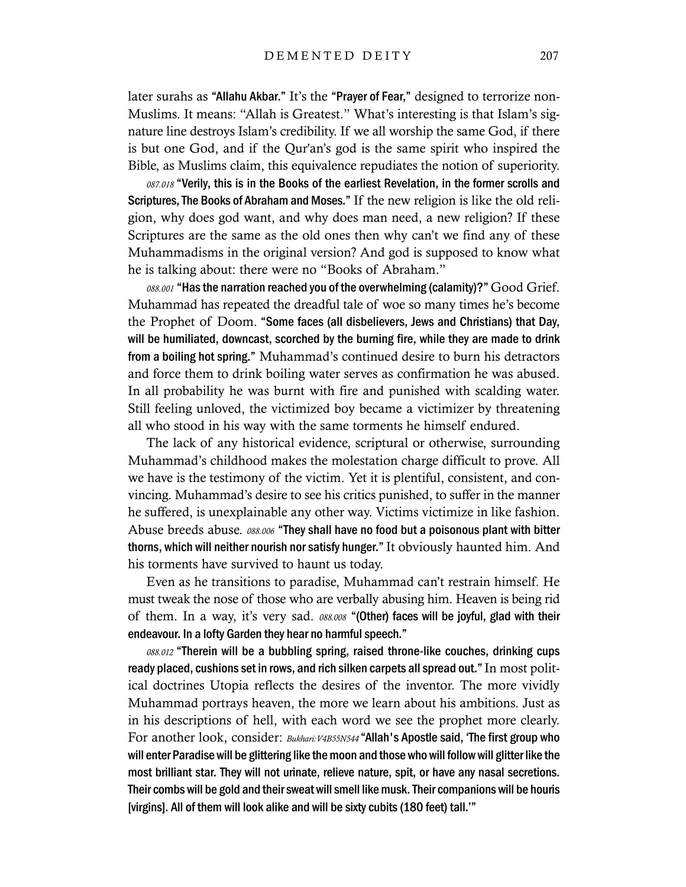later surahs as "Allahu Akbar." It's the "Prayer of Fear," designed to terrorize non-Muslims. It means: "Allah is Greatest." What's interesting is that Islam's signature line destroys Islam's credibility. If we all worship the same God, if there is but one God, and if the Qur'an's god is the same spirit who inspired the Bible, as Muslims claim, this equivalence repudiates the notion of superiority.

*087.018* "Verily, this is in the Books of the earliest Revelation, in the former scrolls and Scriptures, The Books of Abraham and Moses." If the new religion is like the old religion, why does god want, and why does man need, a new religion? If these Scriptures are the same as the old ones then why can't we find any of these Muhammadisms in the original version? And god is supposed to know what he is talking about: there were no "Books of Abraham."

*088.001* "Has the narration reached you of the overwhelming (calamity)?" Good Grief. Muhammad has repeated the dreadful tale of woe so many times he's become the Prophet of Doom. "Some faces (all disbelievers, Jews and Christians) that Day, will be humiliated, downcast, scorched by the burning fire, while they are made to drink from a boiling hot spring." Muhammad's continued desire to burn his detractors and force them to drink boiling water serves as confirmation he was abused. In all probability he was burnt with fire and punished with scalding water. Still feeling unloved, the victimized boy became a victimizer by threatening all who stood in his way with the same torments he himself endured.

The lack of any historical evidence, scriptural or otherwise, surrounding Muhammad's childhood makes the molestation charge difficult to prove. All we have is the testimony of the victim. Yet it is plentiful, consistent, and convincing. Muhammad's desire to see his critics punished, to suffer in the manner he suffered, is unexplainable any other way. Victims victimize in like fashion. Abuse breeds abuse. *088.006* "They shall have no food but a poisonous plant with bitter thorns, which will neither nourish nor satisfy hunger." It obviously haunted him. And his torments have survived to haunt us today.

Even as he transitions to paradise, Muhammad can't restrain himself. He must tweak the nose of those who are verbally abusing him. Heaven is being rid of them. In a way, it's very sad. *088.008* "(Other) faces will be joyful, glad with their endeavour. In a lofty Garden they hear no harmful speech."

*088.012* "Therein will be a bubbling spring, raised throne-like couches, drinking cups ready placed, cushions set in rows, and rich silken carpets all spread out." In most political doctrines Utopia reflects the desires of the inventor. The more vividly Muhammad portrays heaven, the more we learn about his ambitions. Just as in his descriptions of hell, with each word we see the prophet more clearly. For another look, consider: *Bukhari:V4B55N544* "Allah's Apostle said, 'The first group who will enter Paradise will be glittering like the moon and those who will follow will glitter like the most brilliant star. They will not urinate, relieve nature, spit, or have any nasal secretions. Their combs will be gold and their sweat will smell like musk. Their companions will be houris [virgins]. All of them will look alike and will be sixty cubits (180 feet) tall.""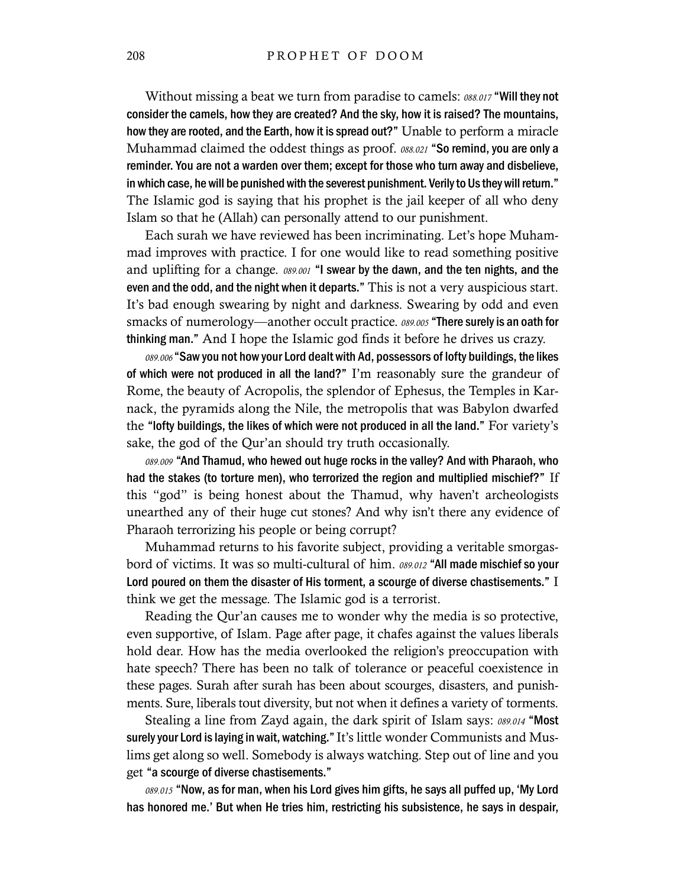Without missing a beat we turn from paradise to camels: *088.017* "Will they not consider the camels, how they are created? And the sky, how it is raised? The mountains, how they are rooted, and the Earth, how it is spread out?" Unable to perform a miracle Muhammad claimed the oddest things as proof. *088.021* "So remind, you are only a reminder. You are not a warden over them; except for those who turn away and disbelieve, in which case, he will be punished with the severest punishment. Verily to Us they will return." The Islamic god is saying that his prophet is the jail keeper of all who deny Islam so that he (Allah) can personally attend to our punishment.

Each surah we have reviewed has been incriminating. Let's hope Muhammad improves with practice. I for one would like to read something positive and uplifting for a change. *089.001* "I swear by the dawn, and the ten nights, and the even and the odd, and the night when it departs." This is not a very auspicious start. It's bad enough swearing by night and darkness. Swearing by odd and even smacks of numerology—another occult practice. *089.005* "There surely is an oath for thinking man." And I hope the Islamic god finds it before he drives us crazy.

*089.006* "Saw you not how your Lord dealt with Ad, possessors of lofty buildings, the likes of which were not produced in all the land?" I'm reasonably sure the grandeur of Rome, the beauty of Acropolis, the splendor of Ephesus, the Temples in Karnack, the pyramids along the Nile, the metropolis that was Babylon dwarfed the "lofty buildings, the likes of which were not produced in all the land." For variety's sake, the god of the Qur'an should try truth occasionally.

*089.009* "And Thamud, who hewed out huge rocks in the valley? And with Pharaoh, who had the stakes (to torture men), who terrorized the region and multiplied mischief?" If this "god" is being honest about the Thamud, why haven't archeologists unearthed any of their huge cut stones? And why isn't there any evidence of Pharaoh terrorizing his people or being corrupt?

Muhammad returns to his favorite subject, providing a veritable smorgasbord of victims. It was so multi-cultural of him. *089.012* "All made mischief so your Lord poured on them the disaster of His torment, a scourge of diverse chastisements." I think we get the message. The Islamic god is a terrorist.

Reading the Qur'an causes me to wonder why the media is so protective, even supportive, of Islam. Page after page, it chafes against the values liberals hold dear. How has the media overlooked the religion's preoccupation with hate speech? There has been no talk of tolerance or peaceful coexistence in these pages. Surah after surah has been about scourges, disasters, and punishments. Sure, liberals tout diversity, but not when it defines a variety of torments.

Stealing a line from Zayd again, the dark spirit of Islam says: *089.014* "Most surely your Lord is laying in wait, watching." It's little wonder Communists and Muslims get along so well. Somebody is always watching. Step out of line and you get "a scourge of diverse chastisements."

*089.015* "Now, as for man, when his Lord gives him gifts, he says all puffed up, 'My Lord has honored me.' But when He tries him, restricting his subsistence, he says in despair,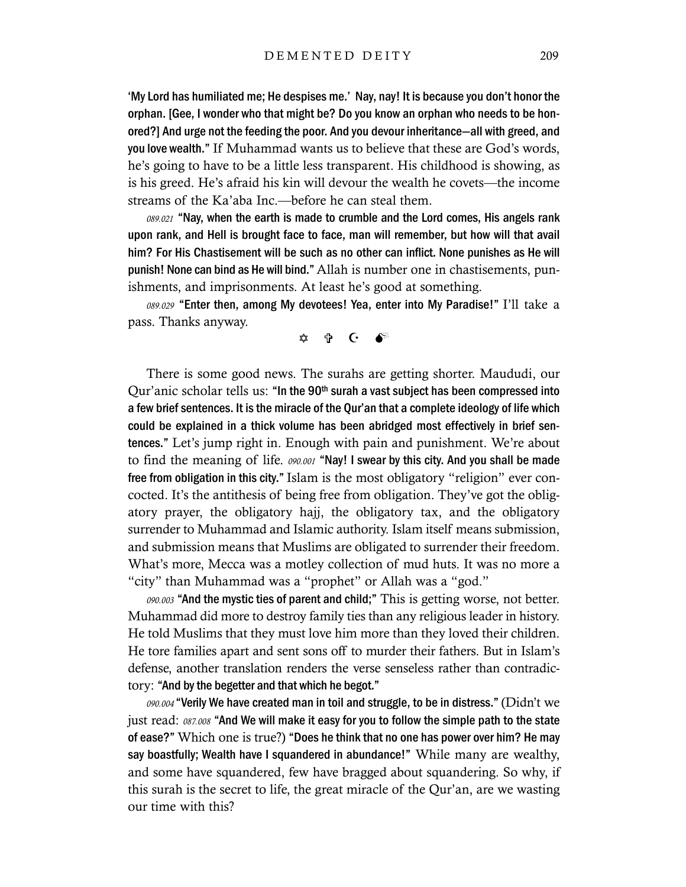'My Lord has humiliated me; He despises me.' Nay, nay! It is because you don't honor the orphan. [Gee, I wonder who that might be? Do you know an orphan who needs to be honored?] And urge not the feeding the poor. And you devour inheritance—all with greed, and you love wealth." If Muhammad wants us to believe that these are God's words, he's going to have to be a little less transparent. His childhood is showing, as is his greed. He's afraid his kin will devour the wealth he covets—the income streams of the Ka'aba Inc.—before he can steal them.

*089.021* "Nay, when the earth is made to crumble and the Lord comes, His angels rank upon rank, and Hell is brought face to face, man will remember, but how will that avail him? For His Chastisement will be such as no other can inflict. None punishes as He will punish! None can bind as He will bind." Allah is number one in chastisements, punishments, and imprisonments. At least he's good at something.

*089.029* "Enter then, among My devotees! Yea, enter into My Paradise!" I'll take a pass. Thanks anyway.

**☆ ☆ C**\*

There is some good news. The surahs are getting shorter. Maududi, our Qur'anic scholar tells us: "In the  $90<sup>th</sup>$  surah a vast subject has been compressed into a few brief sentences. It is the miracle of the Qur'an that a complete ideology of life which could be explained in a thick volume has been abridged most effectively in brief sentences." Let's jump right in. Enough with pain and punishment. We're about to find the meaning of life. *090.001* "Nay! I swear by this city. And you shall be made free from obligation in this city." Islam is the most obligatory "religion" ever concocted. It's the antithesis of being free from obligation. They've got the obligatory prayer, the obligatory hajj, the obligatory tax, and the obligatory surrender to Muhammad and Islamic authority. Islam itself means submission, and submission means that Muslims are obligated to surrender their freedom. What's more, Mecca was a motley collection of mud huts. It was no more a "city" than Muhammad was a "prophet" or Allah was a "god."

*090.003* "And the mystic ties of parent and child;" This is getting worse, not better. Muhammad did more to destroy family ties than any religious leader in history. He told Muslims that they must love him more than they loved their children. He tore families apart and sent sons off to murder their fathers. But in Islam's defense, another translation renders the verse senseless rather than contradictory: "And by the begetter and that which he begot."

*090.004* "Verily We have created man in toil and struggle, to be in distress." (Didn't we just read: *087.008* "And We will make it easy for you to follow the simple path to the state of ease?" Which one is true?) "Does he think that no one has power over him? He may say boastfully; Wealth have I squandered in abundance!" While many are wealthy, and some have squandered, few have bragged about squandering. So why, if this surah is the secret to life, the great miracle of the Qur'an, are we wasting our time with this?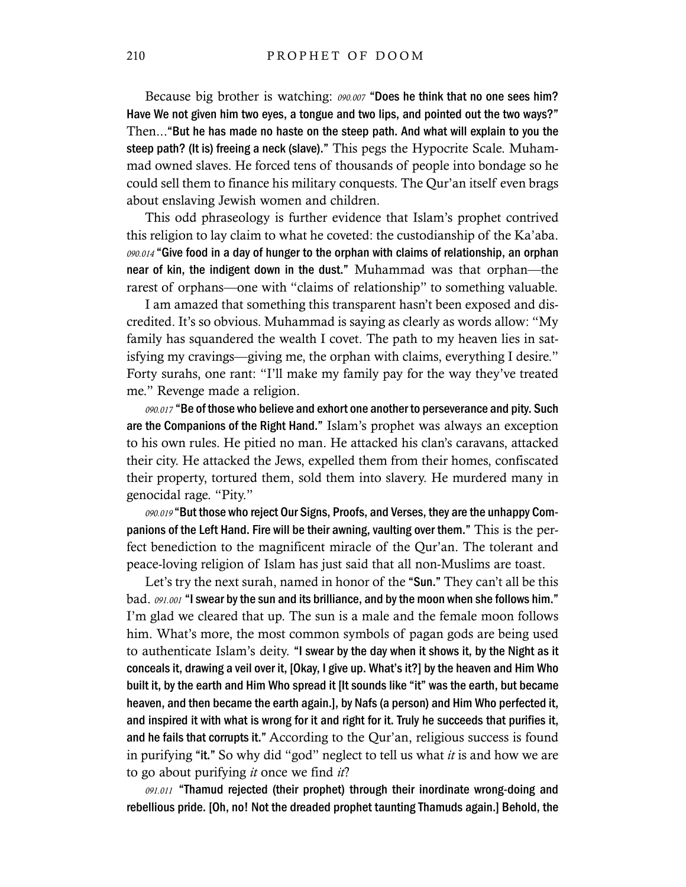Because big brother is watching: *090.007* "Does he think that no one sees him? Have We not given him two eyes, a tongue and two lips, and pointed out the two ways?" Then..."But he has made no haste on the steep path. And what will explain to you the steep path? (It is) freeing a neck (slave)." This pegs the Hypocrite Scale. Muhammad owned slaves. He forced tens of thousands of people into bondage so he could sell them to finance his military conquests. The Qur'an itself even brags about enslaving Jewish women and children.

This odd phraseology is further evidence that Islam's prophet contrived this religion to lay claim to what he coveted: the custodianship of the Ka'aba. *090.014* "Give food in a day of hunger to the orphan with claims of relationship, an orphan near of kin, the indigent down in the dust." Muhammad was that orphan—the rarest of orphans—one with "claims of relationship" to something valuable.

I am amazed that something this transparent hasn't been exposed and discredited. It's so obvious. Muhammad is saying as clearly as words allow: "My family has squandered the wealth I covet. The path to my heaven lies in satisfying my cravings—giving me, the orphan with claims, everything I desire." Forty surahs, one rant: "I'll make my family pay for the way they've treated me." Revenge made a religion.

*090.017* "Be of those who believe and exhort one another to perseverance and pity. Such are the Companions of the Right Hand." Islam's prophet was always an exception to his own rules. He pitied no man. He attacked his clan's caravans, attacked their city. He attacked the Jews, expelled them from their homes, confiscated their property, tortured them, sold them into slavery. He murdered many in genocidal rage. "Pity."

*090.019* "But those who reject Our Signs, Proofs, and Verses, they are the unhappy Companions of the Left Hand. Fire will be their awning, vaulting over them." This is the perfect benediction to the magnificent miracle of the Qur'an. The tolerant and peace-loving religion of Islam has just said that all non-Muslims are toast.

Let's try the next surah, named in honor of the "Sun." They can't all be this bad.  $091.001$  "I swear by the sun and its brilliance, and by the moon when she follows him." I'm glad we cleared that up. The sun is a male and the female moon follows him. What's more, the most common symbols of pagan gods are being used to authenticate Islam's deity. "I swear by the day when it shows it, by the Night as it conceals it, drawing a veil over it, [Okay, I give up. What's it?] by the heaven and Him Who built it, by the earth and Him Who spread it [It sounds like "it" was the earth, but became heaven, and then became the earth again.], by Nafs (a person) and Him Who perfected it, and inspired it with what is wrong for it and right for it. Truly he succeeds that purifies it, and he fails that corrupts it." According to the Qur'an, religious success is found in purifying "it." So why did "god" neglect to tell us what *it* is and how we are to go about purifying *it* once we find *it*?

*091.011* "Thamud rejected (their prophet) through their inordinate wrong-doing and rebellious pride. [Oh, no! Not the dreaded prophet taunting Thamuds again.] Behold, the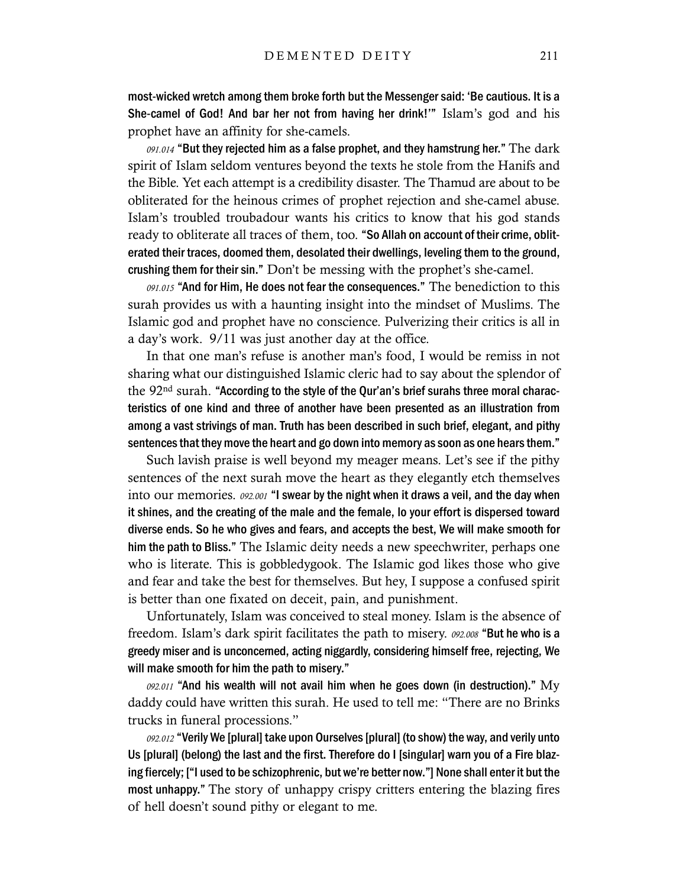most-wicked wretch among them broke forth but the Messenger said: 'Be cautious. It is a She-camel of God! And bar her not from having her drink!'" Islam's god and his prophet have an affinity for she-camels.

*091.014* "But they rejected him as a false prophet, and they hamstrung her." The dark spirit of Islam seldom ventures beyond the texts he stole from the Hanifs and the Bible. Yet each attempt is a credibility disaster. The Thamud are about to be obliterated for the heinous crimes of prophet rejection and she-camel abuse. Islam's troubled troubadour wants his critics to know that his god stands ready to obliterate all traces of them, too. "So Allah on account of their crime, obliterated their traces, doomed them, desolated their dwellings, leveling them to the ground, crushing them for their sin." Don't be messing with the prophet's she-camel.

*091.015* "And for Him, He does not fear the consequences." The benediction to this surah provides us with a haunting insight into the mindset of Muslims. The Islamic god and prophet have no conscience. Pulverizing their critics is all in a day's work. 9/11 was just another day at the office.

In that one man's refuse is another man's food, I would be remiss in not sharing what our distinguished Islamic cleric had to say about the splendor of the 92nd surah. "According to the style of the Qur'an's brief surahs three moral characteristics of one kind and three of another have been presented as an illustration from among a vast strivings of man. Truth has been described in such brief, elegant, and pithy sentences that they move the heart and go down into memory as soon as one hears them."

Such lavish praise is well beyond my meager means. Let's see if the pithy sentences of the next surah move the heart as they elegantly etch themselves into our memories. *092.001* "I swear by the night when it draws a veil, and the day when it shines, and the creating of the male and the female, lo your effort is dispersed toward diverse ends. So he who gives and fears, and accepts the best, We will make smooth for him the path to Bliss." The Islamic deity needs a new speechwriter, perhaps one who is literate. This is gobbledygook. The Islamic god likes those who give and fear and take the best for themselves. But hey, I suppose a confused spirit is better than one fixated on deceit, pain, and punishment.

Unfortunately, Islam was conceived to steal money. Islam is the absence of freedom. Islam's dark spirit facilitates the path to misery. *092.008* "But he who is a greedy miser and is unconcerned, acting niggardly, considering himself free, rejecting, We will make smooth for him the path to misery."

*092.011* "And his wealth will not avail him when he goes down (in destruction)." My daddy could have written this surah. He used to tell me: "There are no Brinks trucks in funeral processions."

*092.012* "Verily We [plural] take upon Ourselves [plural] (to show) the way, and verily unto Us [plural] (belong) the last and the first. Therefore do I [singular] warn you of a Fire blazing fiercely; ["I used to be schizophrenic, but we're better now."] None shall enter it but the most unhappy." The story of unhappy crispy critters entering the blazing fires of hell doesn't sound pithy or elegant to me.